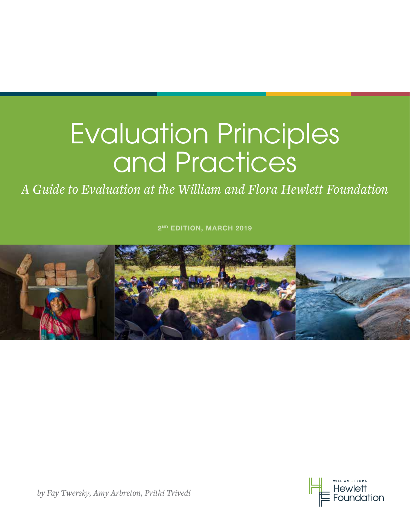# Evaluation Principles and Practices

*A Guide to Evaluation at the William and Flora Hewlett Foundation*

2<sup>ND</sup> EDITION, MARCH 2019





*by Fay Twersky, Amy Arbreton, Prithi Trivedi*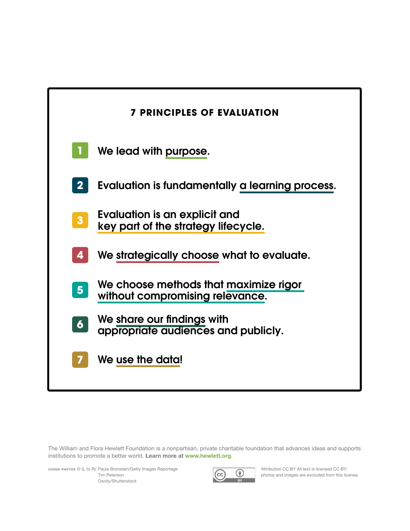| <b>7 PRINCIPLES OF EVALUATION</b>                                        |
|--------------------------------------------------------------------------|
| We lead with purpose.                                                    |
| Evaluation is fundamentally a learning process.                          |
| Evaluation is an explicit and<br>key part of the strategy lifecycle.     |
| We strategically choose what to evaluate.                                |
| We choose methods that maximize rigor<br>without compromising relevance. |
| We share our findings with<br>appropriate audiences and publicly.        |
| We use the data!                                                         |
|                                                                          |

The William and Flora Hewlett Foundation is a nonpartisan, private charitable foundation that advances ideas and supports institutions to promote a better world. Learn more at www.hewlett.org.

cover photos © (L to R): Paula Bronstein/Getty Images Reportage Tim Peterson Oscity/Shutterstock



Attribution CC BY All text is licensed CC BY; photos and images are excluded from this license.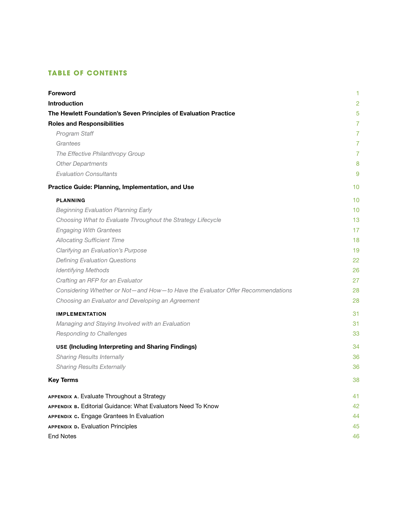# **TABLE OF CONTENTS**

| Foreword                                                                       | 1              |
|--------------------------------------------------------------------------------|----------------|
| <b>Introduction</b>                                                            | $\overline{2}$ |
| The Hewlett Foundation's Seven Principles of Evaluation Practice               | 5              |
| <b>Roles and Responsibilities</b>                                              | $\overline{7}$ |
| Program Staff                                                                  | $\overline{7}$ |
| Grantees                                                                       | $\overline{7}$ |
| The Effective Philanthropy Group                                               | $\overline{7}$ |
| <b>Other Departments</b>                                                       | 8              |
| <b>Evaluation Consultants</b>                                                  | 9              |
| Practice Guide: Planning, Implementation, and Use                              | 10             |
| <b>PLANNING</b>                                                                | 10             |
| <b>Beginning Evaluation Planning Early</b>                                     | 10             |
| Choosing What to Evaluate Throughout the Strategy Lifecycle                    | 13             |
| <b>Engaging With Grantees</b>                                                  | 17             |
| <b>Allocating Sufficient Time</b>                                              | 18             |
| Clarifying an Evaluation's Purpose                                             | 19             |
| <b>Defining Evaluation Questions</b>                                           | 22             |
| <b>Identifying Methods</b>                                                     | 26             |
| Crafting an RFP for an Evaluator                                               | 27             |
| Considering Whether or Not-and How-to Have the Evaluator Offer Recommendations | 28             |
| Choosing an Evaluator and Developing an Agreement                              | 28             |
| <b>IMPLEMENTATION</b>                                                          | 31             |
| Managing and Staying Involved with an Evaluation                               | 31             |
| Responding to Challenges                                                       | 33             |
| <b>USE (Including Interpreting and Sharing Findings)</b>                       | 34             |
| <b>Sharing Results Internally</b>                                              | 36             |
| <b>Sharing Results Externally</b>                                              | 36             |
| <b>Key Terms</b>                                                               | 38             |
| APPENDIX A. Evaluate Throughout a Strategy                                     | 41             |
| APPENDIX B. Editorial Guidance: What Evaluators Need To Know                   | 42             |
| APPENDIX c. Engage Grantees In Evaluation                                      | 44             |
| <b>APPENDIX D. Evaluation Principles</b>                                       | 45             |
| <b>End Notes</b>                                                               | 46             |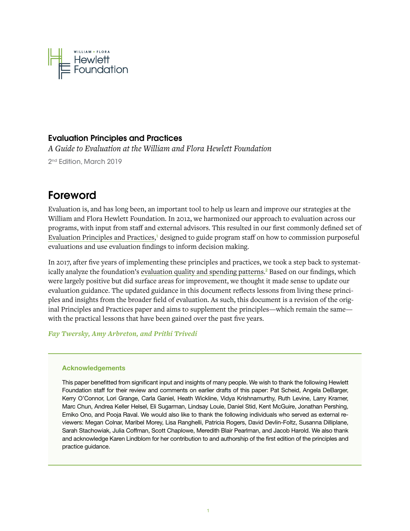<span id="page-3-0"></span>

# Evaluation Principles and Practices

*A Guide to Evaluation at the William and Flora Hewlett Foundation*

2<sup>nd</sup> Edition, March 2019

# Foreword

Evaluation is, and has long been, an important tool to help us learn and improve our strategies at the William and Flora Hewlett Foundation. In 2012, we harmonized our approach to evaluation across our programs, with input from staff and external advisors. This resulted in our first commonly defined set of [Evaluation Principles and Practices,](https://hewlett.org/library/evaluation-principles-and-practices/)<sup>1</sup> designed to guide program staff on how to commission purposeful evaluations and use evaluation findings to inform decision making.

In 2017, after five years of implementing these principles and practices, we took a step back to systematically analyze the foundation's [evaluation quality and spending patterns.](https://hewlett.org/value-evaluations-assessing-spending-quality/)<sup>2</sup> Based on our findings, which were largely positive but did surface areas for improvement, we thought it made sense to update our evaluation guidance. The updated guidance in this document reflects lessons from living these principles and insights from the broader field of evaluation. As such, this document is a revision of the original Principles and Practices paper and aims to supplement the principles—which remain the same with the practical lessons that have been gained over the past five years.

*Fay Twersky, Amy Arbreton, and Prithi Trivedi*

# Acknowledgements

This paper benefitted from significant input and insights of many people. We wish to thank the following Hewlett Foundation staff for their review and comments on earlier drafts of this paper: Pat Scheid, Angela DeBarger, Kerry O'Connor, Lori Grange, Carla Ganiel, Heath Wickline, Vidya Krishnamurthy, Ruth Levine, Larry Kramer, Marc Chun, Andrea Keller Helsel, Eli Sugarman, Lindsay Louie, Daniel Stid, Kent McGuire, Jonathan Pershing, Emiko Ono, and Pooja Raval. We would also like to thank the following individuals who served as external reviewers: Megan Colnar, Maribel Morey, Lisa Ranghelli, Patricia Rogers, David Devlin-Foltz, Susanna Dilliplane, Sarah Stachowiak, Julia Coffman, Scott Chaplowe, Meredith Blair Pearlman, and Jacob Harold. We also thank and acknowledge Karen Lindblom for her contribution to and authorship of the first edition of the principles and practice guidance.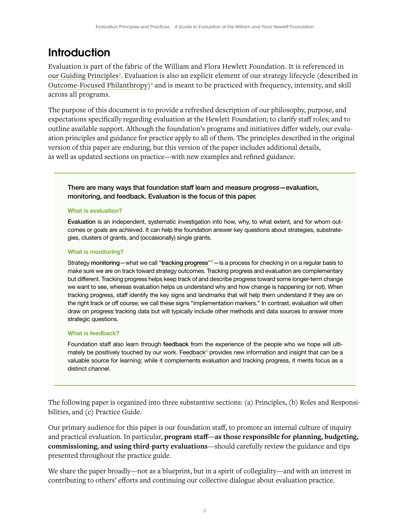# <span id="page-4-0"></span>**Introduction**

Evaluation is part of the fabric of the William and Flora Hewlett Foundation. It is referenced in [our Guiding Principles](https://hewlett.org/about-us/values-and-policies/)<sup>3</sup>. Evaluation is also an explicit element of our strategy lifecycle (described in [Outcome-Focused Philanthropy\)](https://www.hewlett.org/wp-content/uploads/2016/12/OFP-Guidebook.pdf)4 and is meant to be practiced with frequency, intensity, and skill across all programs.

The purpose of this document is to provide a refreshed description of our philosophy, purpose, and expectations specifically regarding evaluation at the Hewlett Foundation; to clarify staff roles; and to outline available support. Although the foundation's programs and initiatives differ widely, our evaluation principles and guidance for practice apply to all of them. The principles described in the original version of this paper are enduring, but this version of the paper includes additional details, as well as updated sections on practice—with new examples and refined guidance.

There are many ways that foundation staff learn and measure progress—evaluation, monitoring, and feedback. Evaluation is the focus of this paper.

### What is evaluation?

Evaluation is an independent, systematic investigation into how, why, to what extent, and for whom outcomes or goals are achieved. It can help the foundation answer key questions about strategies, substrategies, clusters of grants, and (occasionally) single grants.

### What is monitoring?

Strategy monitoring—what we call "t**racking progress"<sup>5</sup>—is a process for checking in on a regular basis to** make sure we are on track toward strategy outcomes. Tracking progress and evaluation are complementary but different. Tracking progress helps keep track of and describe progress toward some longer-term change we want to see, whereas evaluation helps us understand why and how change is happening (or not). When tracking progress, staff identify the key signs and landmarks that will help them understand if they are on the right track or off course; we call these signs "implementation markers." In contrast, evaluation will often draw on progress tracking data but will typically include other methods and data sources to answer more strategic questions.

#### What is feedback?

Foundation staff also learn through feedback from the experience of the people who we hope will ulti-mately be positively touched by our work. [Feedback](https://ssir.org/articles/entry/time_for_a_three_legged_measurement_stool)<sup>6</sup> provides new information and insight that can be a valuable source for learning; while it complements evaluation and tracking progress, it merits focus as a distinct channel.

The following paper is organized into three substantive sections: (a) Principles, (b) Roles and Responsibilities, and (c) Practice Guide.

Our primary audience for this paper is our foundation staff, to promote an internal culture of inquiry and practical evaluation. In particular, **program staff—as those responsible for planning, budgeting, commissioning, and using third-party evaluations**—should carefully review the guidance and tips presented throughout the practice guide.

We share the paper broadly—not as a blueprint, but in a spirit of collegiality—and with an interest in contributing to others' efforts and continuing our collective dialogue about evaluation practice.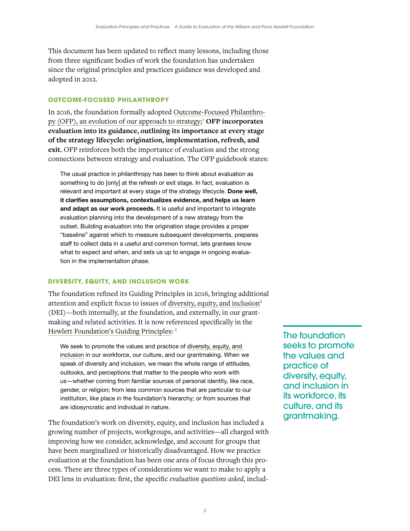This document has been updated to reflect many lessons, including those from three significant bodies of work the foundation has undertaken since the original principles and practices guidance was developed and adopted in 2012.

# **OUTCOME-FOCUSED PHILANTHROPY**

In 2016, the foundation formally adopted [Outcome-Focused Philanthro](https://hewlett.org/practical-guide-outcome-focused-philanthropy/)[py \(OFP\), an evolution of our approach to strategy](https://hewlett.org/practical-guide-outcome-focused-philanthropy/); <sup>7</sup> **OFP incorporates evaluation into its guidance, outlining its importance at every stage of the strategy lifecycle: origination, implementation, refresh, and exit.** OFP reinforces both the importance of evaluation and the strong connections between strategy and evaluation. The OFP guidebook states:

The usual practice in philanthropy has been to think about evaluation as something to do [only] at the refresh or exit stage. In fact, evaluation is relevant and important at every stage of the strategy lifecycle. Done well, it clarifies assumptions, contextualizes evidence, and helps us learn and adapt as our work proceeds. It is useful and important to integrate evaluation planning into the development of a new strategy from the outset. Building evaluation into the origination stage provides a proper "baseline" against which to measure subsequent developments, prepares staff to collect data in a useful and common format, lets grantees know what to expect and when, and sets us up to engage in ongoing evaluation in the implementation phase.

# **DIVERSITY, EQUITY, AND INCLUSION WORK**

The foundation refined its Guiding Principles in 2016, bringing additional attention and explicit focus to issues of [diversity, equity, and inclusion](https://hewlett.org/diversity-equity-inclusion/) $\delta$ (DEI)—both internally, at the foundation, and externally, in our grantmaking and related activities. It is now referenced specifically in the [Hewlett Foundation's Guiding Principles](https://hewlett.org/diversity-equity-inclusion/): 9

We seek to promote the values and practice of [diversity, equity, and](https://hewlett.org/diversity-equity-inclusion/)  [inclusion](https://hewlett.org/diversity-equity-inclusion/) in our workforce, our culture, and our grantmaking. When we speak of diversity and inclusion, we mean the whole range of attitudes, outlooks, and perceptions that matter to the people who work with us—whether coming from familiar sources of personal identity, like race, gender, or religion; from less common sources that are particular to our institution, like place in the foundation's hierarchy; or from sources that are idiosyncratic and individual in nature.

The foundation's work on diversity, equity, and inclusion has included a growing number of projects, workgroups, and activities—all charged with improving how we consider, acknowledge, and account for groups that have been marginalized or historically disadvantaged. How we practice evaluation at the foundation has been one area of focus through this process. There are three types of considerations we want to make to apply a DEI lens in evaluation: first, the specific *evaluation questions asked*, includThe foundation seeks to promote the values and practice of diversity, equity, and inclusion in its workforce, its culture, and its grantmaking.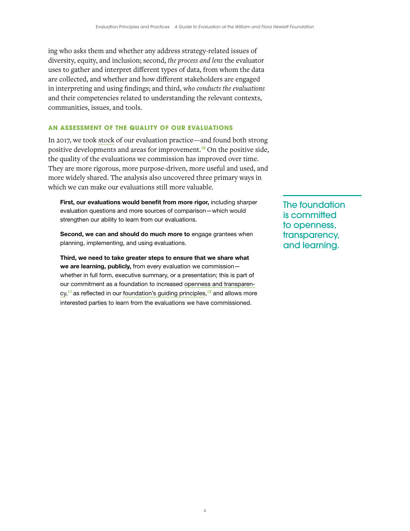ing who asks them and whether any address strategy-related issues of diversity, equity, and inclusion; second, *the process and lens* the evaluator uses to gather and interpret different types of data, from whom the data are collected, and whether and how different stakeholders are engaged in interpreting and using findings; and third, *who conducts the evaluations* and their competencies related to understanding the relevant contexts, communities, issues, and tools.

### **AN ASSESSMENT OF THE QUALITY OF OUR EVALUATIONS**

In 2017, we took [stock](https://hewlett.org/value-evaluations-assessing-spending-quality/) of our evaluation practice—and found both strong positive developments and areas for improvement.10 On the positive side, the quality of the evaluations we commission has improved over time. They are more rigorous, more purpose-driven, more useful and used, and more widely shared. The analysis also uncovered three primary ways in which we can make our evaluations still more valuable.

First, our evaluations would benefit from more rigor, including sharper evaluation questions and more sources of comparison—which would strengthen our ability to learn from our evaluations.

Second, we can and should do much more to engage grantees when planning, implementing, and using evaluations.

Third, we need to take greater steps to ensure that we share what we are learning, publicly, from every evaluation we commissionwhether in full form, executive summary, or a presentation; this is part of our commitment as a foundation to increased [openness and transparen](https://hewlett.org/openness-transparency-learning/)[cy,](https://hewlett.org/openness-transparency-learning/)<sup>11</sup> as reflected in our [foundation's guiding principles,](https://hewlett.org/about-us/values-and-policies/)<sup>12</sup> and allows more interested parties to learn from the evaluations we have commissioned.

The foundation is committed to openness, transparency, and learning.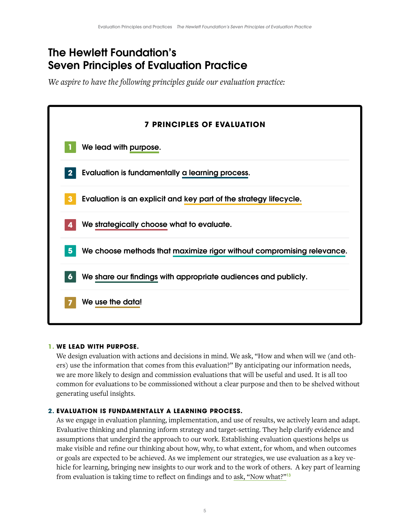# <span id="page-7-0"></span>The Hewlett Foundation's Seven Principles of Evaluation Practice

*We aspire to have the following principles guide our evaluation practice:*



# **1. WE LEAD WITH PURPOSE.**

We design evaluation with actions and decisions in mind. We ask, "How and when will we (and others) use the information that comes from this evaluation?" By anticipating our information needs, we are more likely to design and commission evaluations that will be useful and used. It is all too common for evaluations to be commissioned without a clear purpose and then to be shelved without generating useful insights.

# **2. EVALUATION IS FUNDAMENTALLY A LEARNING PROCESS.**

As we engage in evaluation planning, implementation, and use of results, we actively learn and adapt. Evaluative thinking and planning inform strategy and target-setting. They help clarify evidence and assumptions that undergird the approach to our work. Establishing evaluation questions helps us make visible and refine our thinking about how, why, to what extent, for whom, and when outcomes or goals are expected to be achieved. As we implement our strategies, we use evaluation as a key vehicle for learning, bringing new insights to our work and to the work of others. A key part of learning from evaluation is taking time to reflect on findings and to [ask, "Now what?"](https://medium.com/@jcoffman/5-a-day-learning-by-force-of-habit-6c890260acbf)<sup>13</sup>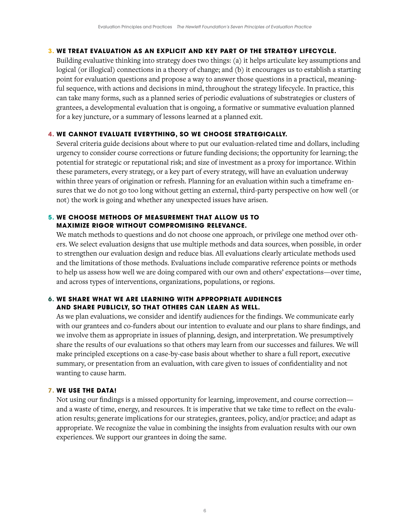# **3. WE TREAT EVALUATION AS AN EXPLICIT AND KEY PART OF THE STRATEGY LIFECYCLE.**

Building evaluative thinking into strategy does two things: (a) it helps articulate key assumptions and logical (or illogical) connections in a theory of change; and (b) it encourages us to establish a starting point for evaluation questions and propose a way to answer those questions in a practical, meaningful sequence, with actions and decisions in mind, throughout the strategy lifecycle. In practice, this can take many forms, such as a planned series of periodic evaluations of substrategies or clusters of grantees, a developmental evaluation that is ongoing, a formative or summative evaluation planned for a key juncture, or a summary of lessons learned at a planned exit.

# **4. WE CANNOT EVALUATE EVERYTHING, SO WE CHOOSE STRATEGICALLY.**

Several criteria guide decisions about where to put our evaluation-related time and dollars, including urgency to consider course corrections or future funding decisions; the opportunity for learning; the potential for strategic or reputational risk; and size of investment as a proxy for importance. Within these parameters, every strategy, or a key part of every strategy, will have an evaluation underway within three years of origination or refresh. Planning for an evaluation within such a timeframe ensures that we do not go too long without getting an external, third-party perspective on how well (or not) the work is going and whether any unexpected issues have arisen.

# **5. WE CHOOSE METHODS OF MEASUREMENT THAT ALLOW US TO MAXIMIZE RIGOR WITHOUT COMPROMISING RELEVANCE.**

We match methods to questions and do not choose one approach, or privilege one method over others. We select evaluation designs that use multiple methods and data sources, when possible, in order to strengthen our evaluation design and reduce bias. All evaluations clearly articulate methods used and the limitations of those methods. Evaluations include comparative reference points or methods to help us assess how well we are doing compared with our own and others' expectations—over time, and across types of interventions, organizations, populations, or regions.

# **6. WE SHARE WHAT WE ARE LEARNING WITH APPROPRIATE AUDIENCES AND SHARE PUBLICLY, SO THAT OTHERS CAN LEARN AS WELL.**

As we plan evaluations, we consider and identify audiences for the findings. We communicate early with our grantees and co-funders about our intention to evaluate and our plans to share findings, and we involve them as appropriate in issues of planning, design, and interpretation. We presumptively share the results of our evaluations so that others may learn from our successes and failures. We will make principled exceptions on a case-by-case basis about whether to share a full report, executive summary, or presentation from an evaluation, with care given to issues of confidentiality and not wanting to cause harm.

# **7. WE USE THE DATA!**

Not using our findings is a missed opportunity for learning, improvement, and course correction and a waste of time, energy, and resources. It is imperative that we take time to reflect on the evaluation results; generate implications for our strategies, grantees, policy, and/or practice; and adapt as appropriate. We recognize the value in combining the insights from evaluation results with our own experiences. We support our grantees in doing the same.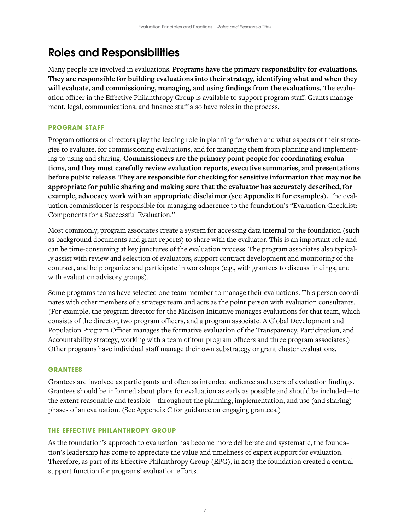# <span id="page-9-0"></span>Roles and Responsibilities

Many people are involved in evaluations. **Programs have the primary responsibility for evaluations. They are responsible for building evaluations into their strategy, identifying what and when they will evaluate, and commissioning, managing, and using findings from the evaluations.** The evaluation officer in the Effective Philanthropy Group is available to support program staff. Grants management, legal, communications, and finance staff also have roles in the process.

# **PROGRAM STAFF**

Program officers or directors play the leading role in planning for when and what aspects of their strategies to evaluate, for commissioning evaluations, and for managing them from planning and implementing to using and sharing. **Commissioners are the primary point people for coordinating evaluations, and they must carefully review evaluation reports, executive summaries, and presentations before public release. They are responsible for checking for sensitive information that may not be appropriate for public sharing and making sure that the evaluator has accurately described, for example, advocacy work with an appropriate disclaimer (see Appendix B for examples).** The evaluation commissioner is responsible for managing adherence to the foundation's "Evaluation Checklist: Components for a Successful Evaluation."

Most commonly, program associates create a system for accessing data internal to the foundation (such as background documents and grant reports) to share with the evaluator. This is an important role and can be time-consuming at key junctures of the evaluation process. The program associates also typically assist with review and selection of evaluators, support contract development and monitoring of the contract, and help organize and participate in workshops (e.g., with grantees to discuss findings, and with evaluation advisory groups).

Some programs teams have selected one team member to manage their evaluations. This person coordinates with other members of a strategy team and acts as the point person with evaluation consultants. (For example, the program director for the Madison Initiative manages evaluations for that team, which consists of the director, two program officers, and a program associate. A Global Development and Population Program Officer manages the formative evaluation of the Transparency, Participation, and Accountability strategy, working with a team of four program officers and three program associates.) Other programs have individual staff manage their own substrategy or grant cluster evaluations.

# **GRANTEES**

Grantees are involved as participants and often as intended audience and users of evaluation findings. Grantees should be informed about plans for evaluation as early as possible and should be included—to the extent reasonable and feasible—throughout the planning, implementation, and use (and sharing) phases of an evaluation. (See Appendix C for guidance on engaging grantees.)

# **THE EFFECTIVE PHILANTHROPY GROUP**

As the foundation's approach to evaluation has become more deliberate and systematic, the foundation's leadership has come to appreciate the value and timeliness of expert support for evaluation. Therefore, as part of its Effective Philanthropy Group (EPG), in 2013 the foundation created a central support function for programs' evaluation efforts.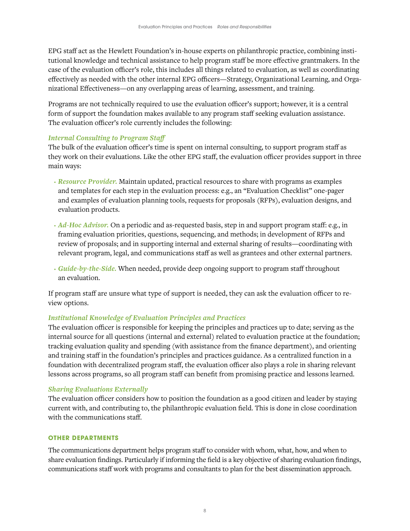<span id="page-10-0"></span>EPG staff act as the Hewlett Foundation's in-house experts on philanthropic practice, combining institutional knowledge and technical assistance to help program staff be more effective grantmakers. In the case of the evaluation officer's role, this includes all things related to evaluation, as well as coordinating effectively as needed with the other internal EPG officers—Strategy, Organizational Learning, and Organizational Effectiveness—on any overlapping areas of learning, assessment, and training.

Programs are not technically required to use the evaluation officer's support; however, it is a central form of support the foundation makes available to any program staff seeking evaluation assistance. The evaluation officer's role currently includes the following:

# *Internal Consulting to Program Staff*

The bulk of the evaluation officer's time is spent on internal consulting, to support program staff as they work on their evaluations. Like the other EPG staff, the evaluation officer provides support in three main ways:

- *Resource Provider.* Maintain updated, practical resources to share with programs as examples and templates for each step in the evaluation process: e.g., an "Evaluation Checklist" one-pager and examples of evaluation planning tools, requests for proposals (RFPs), evaluation designs, and evaluation products.
- *Ad-Hoc Advisor.* On a periodic and as-requested basis, step in and support program staff: e.g., in framing evaluation priorities, questions, sequencing, and methods; in development of RFPs and review of proposals; and in supporting internal and external sharing of results—coordinating with relevant program, legal, and communications staff as well as grantees and other external partners.
- *Guide-by-the-Side.* When needed, provide deep ongoing support to program staff throughout an evaluation.

If program staff are unsure what type of support is needed, they can ask the evaluation officer to review options.

# *Institutional Knowledge of Evaluation Principles and Practices*

The evaluation officer is responsible for keeping the principles and practices up to date; serving as the internal source for all questions (internal and external) related to evaluation practice at the foundation; tracking evaluation quality and spending (with assistance from the finance department), and orienting and training staff in the foundation's principles and practices guidance. As a centralized function in a foundation with decentralized program staff, the evaluation officer also plays a role in sharing relevant lessons across programs, so all program staff can benefit from promising practice and lessons learned.

# *Sharing Evaluations Externally*

The evaluation officer considers how to position the foundation as a good citizen and leader by staying current with, and contributing to, the philanthropic evaluation field. This is done in close coordination with the communications staff.

# **OTHER DEPARTMENTS**

The communications department helps program staff to consider with whom, what, how, and when to share evaluation findings. Particularly if informing the field is a key objective of sharing evaluation findings, communications staff work with programs and consultants to plan for the best dissemination approach.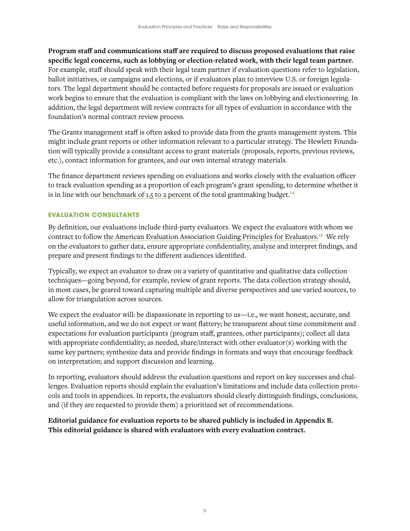<span id="page-11-0"></span>**Program staff and communications staff are required to discuss proposed evaluations that raise specific legal concerns, such as lobbying or election-related work, with their legal team partner.** For example, staff should speak with their legal team partner if evaluation questions refer to legislation, ballot initiatives, or campaigns and elections, or if evaluators plan to interview U.S. or foreign legislators. The legal department should be contacted before requests for proposals are issued or evaluation work begins to ensure that the evaluation is compliant with the laws on lobbying and electioneering. In addition, the legal department will review contracts for all types of evaluation in accordance with the foundation's normal contract review process.

The Grants management staff is often asked to provide data from the grants management system. This might include grant reports or other information relevant to a particular strategy. The Hewlett Foundation will typically provide a consultant access to grant materials (proposals, reports, previous reviews, etc.), contact information for grantees, and our own internal strategy materials.

The finance department reviews spending on evaluations and works closely with the evaluation officer to track evaluation spending as a proportion of each program's grant spending, to determine whether it is in line with our [benchmark of 1.5 to 2 percent](https://www.hewlett.org/wp-content/uploads/2018/02/Evaluation-Quality-and-Spending-Analysis-2018.pdf) of the total grantmaking budget.<sup>14</sup>

# **EVALUATION CONSULTANTS**

By definition, our evaluations include third-party evaluators. We expect the evaluators with whom we contract to follow [the American Evaluation Association Guiding Principles for Evaluators.](https://www.eval.org/p/cm/ld/fid=51)15 We rely on the evaluators to gather data, ensure appropriate confidentiality, analyze and interpret findings, and prepare and present findings to the different audiences identified.

Typically, we expect an evaluator to draw on a variety of quantitative and qualitative data collection techniques—going beyond, for example, review of grant reports. The data collection strategy should, in most cases, be geared toward capturing multiple and diverse perspectives and use varied sources, to allow for triangulation across sources.

We expect the evaluator will: be dispassionate in reporting to us—i.e., we want honest, accurate, and useful information, and we do not expect or want flattery; be transparent about time commitment and expectations for evaluation participants (program staff, grantees, other participants); collect all data with appropriate confidentiality; as needed, share/interact with other evaluator(s) working with the same key partners; synthesize data and provide findings in formats and ways that encourage feedback on interpretation; and support discussion and learning.

In reporting, evaluators should address the evaluation questions and report on key successes and challenges. Evaluation reports should explain the evaluation's limitations and include data collection protocols and tools in appendices. In reports, the evaluators should clearly distinguish findings, conclusions, and (if they are requested to provide them) a prioritized set of recommendations.

**Editorial guidance for evaluation reports to be shared publicly is included in Appendix B. This editorial guidance is shared with evaluators with every evaluation contract.**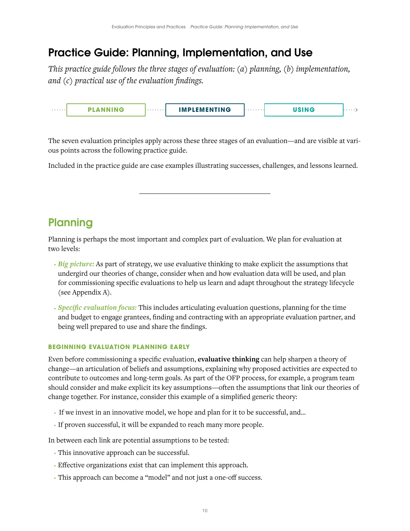# <span id="page-12-0"></span>Practice Guide: Planning, Implementation, and Use

*This practice guide follows the three stages of evaluation: (a) planning, (b) implementation, and (c) practical use of the evaluation findings.* 



The seven evaluation principles apply across these three stages of an evaluation—and are visible at various points across the following practice guide.

Included in the practice guide are case examples illustrating successes, challenges, and lessons learned.

# **Planning**

Planning is perhaps the most important and complex part of evaluation. We plan for evaluation at two levels:

- *Big picture:* As part of strategy, we use evaluative thinking to make explicit the assumptions that undergird our theories of change, consider when and how evaluation data will be used, and plan for commissioning specific evaluations to help us learn and adapt throughout the strategy lifecycle (see Appendix A).
- *Specific evaluation focus:* This includes articulating evaluation questions, planning for the time and budget to engage grantees, finding and contracting with an appropriate evaluation partner, and being well prepared to use and share the findings.

# **BEGINNING EVALUATION PLANNING EARLY**

Even before commissioning a specific evaluation, **evaluative thinking** can help sharpen a theory of change—an articulation of beliefs and assumptions, explaining why proposed activities are expected to contribute to outcomes and long-term goals. As part of the OFP process, for example, a program team should consider and make explicit its key assumptions—often the assumptions that link our theories of change together. For instance, consider this example of a simplified generic theory:

- If we invest in an innovative model, we hope and plan for it to be successful, and…
- If proven successful, it will be expanded to reach many more people.

In between each link are potential assumptions to be tested:

- This innovative approach can be successful.
- Effective organizations exist that can implement this approach.
- This approach can become a "model" and not just a one-off success.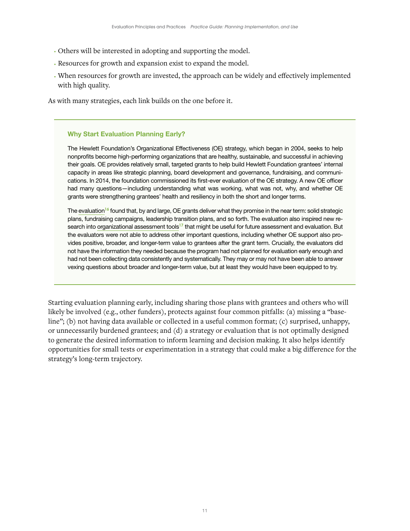- Others will be interested in adopting and supporting the model.
- Resources for growth and expansion exist to expand the model.
- When resources for growth are invested, the approach can be widely and effectively implemented with high quality.

As with many strategies, each link builds on the one before it.

### Why Start Evaluation Planning Early?

The Hewlett Foundation's Organizational Effectiveness (OE) strategy, which began in 2004, seeks to help nonprofits become high-performing organizations that are healthy, sustainable, and successful in achieving their goals. OE provides relatively small, targeted grants to help build Hewlett Foundation grantees' internal capacity in areas like strategic planning, board development and governance, fundraising, and communications. In 2014, the foundation commissioned its first-ever evaluation of the OE strategy. A new OE officer had many questions—including understanding what was working, what was not, why, and whether OE grants were strengthening grantees' health and resiliency in both the short and longer terms.

The [evaluation](https://hewlett.org/wp-content/uploads/2016/10/Evaluation-of-OE-Program-November-2015.pdf)<sup>16</sup> found that, by and large, OE grants deliver what they promise in the near term: solid strategic plans, fundraising campaigns, leadership transition plans, and so forth. The evaluation also inspired new research into [organizational assessment tools](https://hewlett.org/assessing-nonprofit-capacity-guide-tools/)<sup>17</sup> that might be useful for future assessment and evaluation. But the evaluators were not able to address other important questions, including whether OE support also provides positive, broader, and longer-term value to grantees after the grant term. Crucially, the evaluators did not have the information they needed because the program had not planned for evaluation early enough and had not been collecting data consistently and systematically. They may or may not have been able to answer vexing questions about broader and longer-term value, but at least they would have been equipped to try.

Starting evaluation planning early, including sharing those plans with grantees and others who will likely be involved (e.g., other funders), protects against four common pitfalls: (a) missing a "baseline"; (b) not having data available or collected in a useful common format; (c) surprised, unhappy, or unnecessarily burdened grantees; and (d) a strategy or evaluation that is not optimally designed to generate the desired information to inform learning and decision making. It also helps identify opportunities for small tests or experimentation in a strategy that could make a big difference for the strategy's long-term trajectory.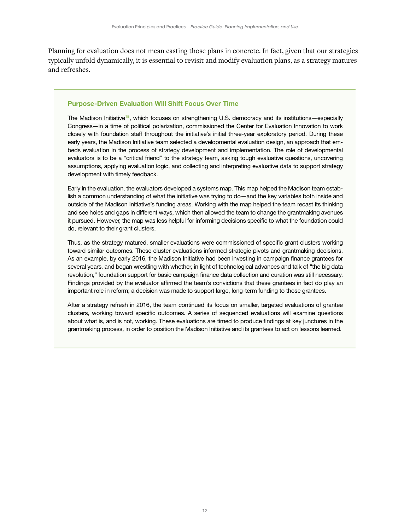Planning for evaluation does not mean casting those plans in concrete. In fact, given that our strategies typically unfold dynamically, it is essential to revisit and modify evaluation plans, as a strategy matures and refreshes.

#### Purpose-Driven Evaluation Will Shift Focus Over Time

The [Madison Initiative](https://hewlett.org/library/evaluating-the-madison-initiative/)<sup>18</sup>, which focuses on strengthening U.S. democracy and its institutions—especially Congress—in a time of political polarization, commissioned the Center for Evaluation Innovation to work closely with foundation staff throughout the initiative's initial three-year exploratory period. During these early years, the Madison Initiative team selected a developmental evaluation design, an approach that embeds evaluation in the process of strategy development and implementation. The role of developmental evaluators is to be a "critical friend" to the strategy team, asking tough evaluative questions, uncovering assumptions, applying evaluation logic, and collecting and interpreting evaluative data to support strategy development with timely feedback.

Early in the evaluation, the evaluators developed a systems map. This map helped the Madison team establish a common understanding of what the initiative was trying to do—and the key variables both inside and outside of the Madison Initiative's funding areas. Working with the map helped the team recast its thinking and see holes and gaps in different ways, which then allowed the team to change the grantmaking avenues it pursued. However, the map was less helpful for informing decisions specific to what the foundation could do, relevant to their grant clusters.

Thus, as the strategy matured, smaller evaluations were commissioned of specific grant clusters working toward similar outcomes. These cluster evaluations informed strategic pivots and grantmaking decisions. As an example, by early 2016, the Madison Initiative had been investing in campaign finance grantees for several years, and began wrestling with whether, in light of technological advances and talk of "the big data revolution," foundation support for basic campaign finance data collection and curation was still necessary. Findings provided by the evaluator affirmed the team's convictions that these grantees in fact do play an important role in reform; a decision was made to support large, long-term funding to those grantees.

After a strategy refresh in 2016, the team continued its focus on smaller, targeted evaluations of grantee clusters, working toward specific outcomes. A series of sequenced evaluations will examine questions about what is, and is not, working. These evaluations are timed to produce findings at key junctures in the grantmaking process, in order to position the Madison Initiative and its grantees to act on lessons learned.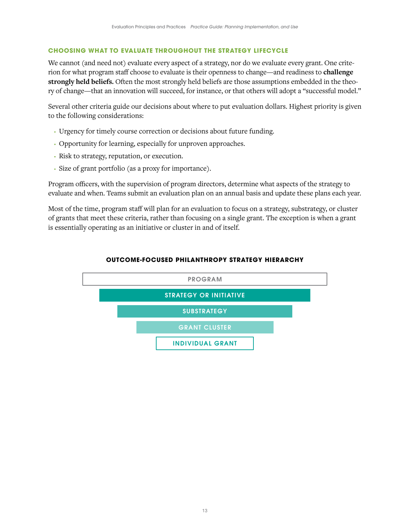# <span id="page-15-0"></span>**CHOOSING WHAT TO EVALUATE THROUGHOUT THE STRATEGY LIFECYCLE**

We cannot (and need not) evaluate every aspect of a strategy, nor do we evaluate every grant. One criterion for what program staff choose to evaluate is their openness to change—and readiness to **challenge strongly held beliefs.** Often the most strongly held beliefs are those assumptions embedded in the theory of change—that an innovation will succeed, for instance, or that others will adopt a "successful model."

Several other criteria guide our decisions about where to put evaluation dollars. Highest priority is given to the following considerations:

- Urgency for timely course correction or decisions about future funding.
- Opportunity for learning, especially for unproven approaches.
- Risk to strategy, reputation, or execution.
- Size of grant portfolio (as a proxy for importance).

Program officers, with the supervision of program directors, determine what aspects of the strategy to evaluate and when. Teams submit an evaluation plan on an annual basis and update these plans each year.

Most of the time, program staff will plan for an evaluation to focus on a strategy, substrategy, or cluster of grants that meet these criteria, rather than focusing on a single grant. The exception is when a grant is essentially operating as an initiative or cluster in and of itself.



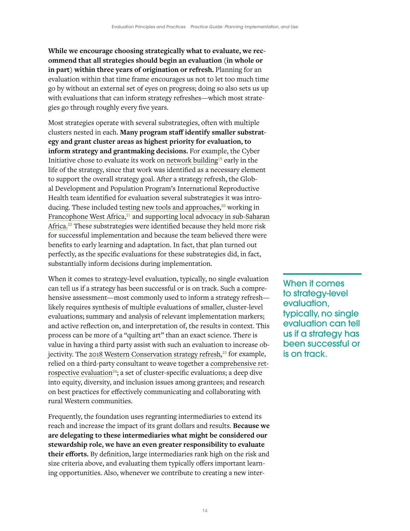**While we encourage choosing strategically what to evaluate, we recommend that all strategies should begin an evaluation (in whole or in part) within three years of origination or refresh.** Planning for an evaluation within that time frame encourages us not to let too much time go by without an external set of eyes on progress; doing so also sets us up with evaluations that can inform strategy refreshes—which most strategies go through roughly every five years.

Most strategies operate with several substrategies, often with multiple clusters nested in each. **Many program staff identify smaller substrategy and grant cluster areas as highest priority for evaluation, to inform strategy and grantmaking decisions.** For example, the Cyber Initiative chose to evaluate its work on [network building](https://hewlett.org/wp-content/uploads/2018/02/Evaluation-of-network-building-Cyber-2016.pdf)19 early in the life of the strategy, since that work was identified as a necessary element to support the overall strategy goal. After a strategy refresh, the Global Development and Population Program's International Reproductive Health team identified for evaluation several substrategies it was introducing. These included [testing new tools and approaches](https://hewlett.org/library/evaluation-of-the-hewlett-foundations-strategy-to-apply-human-centered-design-to-improve-family-planning-and-reproductive-health-services-in-sub-saharan-africa/),<sup>20</sup> working in [Francophone West Africa](https://hewlett.org/promise-and-progress-on-family-planning-in-francophone-west-africa/),<sup>21</sup> and supporting local advocacy in sub-Saharan [Africa.](https://hewlett.org/wp-content/uploads/2016/11/Supporting-Local-Advocacy-in-Sub-Saharan-Africa.pdf)<sup>22</sup> These substrategies were identified because they held more risk for successful implementation and because the team believed there were benefits to early learning and adaptation. In fact, that plan turned out perfectly, as the specific evaluations for these substrategies did, in fact, substantially inform decisions during implementation.

When it comes to strategy-level evaluation, typically, no single evaluation can tell us if a strategy has been successful or is on track. Such a comprehensive assessment—most commonly used to inform a strategy refresh likely requires synthesis of multiple evaluations of smaller, cluster-level evaluations; summary and analysis of relevant implementation markers; and active reflection on, and interpretation of, the results in context. This process can be more of a "quilting art" than an exact science. There is value in having a third party assist with such an evaluation to increase ob-jectivity. The [2018 Western Conservation strategy refresh,](https://hewlett.org/library/western-conservation-strategy-2018-2023/)<sup>23</sup> for example, relied on a third-party consultant to weave together a [comprehensive ret](https://hewlett.org/library/best-practices-for-enduring-conservation-five-year-retrospective-of-the-hewlett-foundations-western-conservation-grantmaking-strategy/)[rospective evaluation](https://hewlett.org/library/best-practices-for-enduring-conservation-five-year-retrospective-of-the-hewlett-foundations-western-conservation-grantmaking-strategy/)<sup>24</sup>; a set of cluster-specific evaluations; a deep dive into equity, diversity, and inclusion issues among grantees; and research on best practices for effectively communicating and collaborating with rural Western communities.

Frequently, the foundation uses regranting intermediaries to extend its reach and increase the impact of its grant dollars and results. **Because we are delegating to these intermediaries what might be considered our stewardship role, we have an even greater responsibility to evaluate their efforts.** By definition, large intermediaries rank high on the risk and size criteria above, and evaluating them typically offers important learning opportunities. Also, whenever we contribute to creating a new inter-

When it comes to strategy-level evaluation, typically, no single evaluation can tell us if a strategy has been successful or is on track.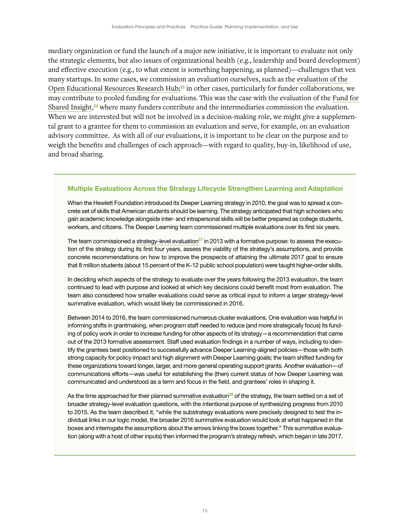mediary organization or fund the launch of a major new initiative, it is important to evaluate not only the strategic elements, but also issues of organizational health (e.g., leadership and board development) and effective execution (e.g., to what extent is something happening, as planned)—challenges that vex many startups. In some cases, we commission an evaluation ourselves, such as the [evaluation of the](https://hewlett.org/library/research-on-open-oer-research-hub-review-and-futures-for-research-on-oer/)  [Open Educational Resources Research Hub;](https://hewlett.org/library/research-on-open-oer-research-hub-review-and-futures-for-research-on-oer/)<sup>25</sup> in other cases, particularly for funder collaborations, we may contribute to pooled funding for evaluations. This was the case with the evaluation of the [Fund for](https://www.fundforsharedinsight.org/knowledge/?t=evaluating-our-work#knowledge-tabs%7C3||knowledge-tabs|3)  [Shared Insight](https://www.fundforsharedinsight.org/knowledge/?t=evaluating-our-work#knowledge-tabs%7C3||knowledge-tabs|3),<sup>26</sup> where many funders contribute and the intermediaries commission the evaluation. When we are interested but will not be involved in a decision-making role, we might give a supplemental grant to a grantee for them to commission an evaluation and serve, for example, on an evaluation advisory committee. As with all of our evaluations, it is important to be clear on the purpose and to weigh the benefits and challenges of each approach—with regard to quality, buy-in, likelihood of use, and broad sharing.

# Multiple Evaluations Across the Strategy Lifecycle Strengthen Learning and Adaptation

When the Hewlett Foundation introduced its Deeper Learning strategy in 2010, the goal was to spread a concrete set of skills that American students should be learning. The strategy anticipated that high schoolers who gain academic knowledge alongside inter- and intrapersonal skills will be better prepared as college students, workers, and citizens. The Deeper Learning team commissioned multiple evaluations over its first six years.

The team commissioned a [strategy-level evaluation](https://hewlett.org/library/the-hewlett-foundation-education-program-deeper-learning-review-executive-summary/) $^{27}$  in 2013 with a formative purpose: to assess the execution of the strategy during its first four years, assess the viability of the strategy's assumptions, and provide concrete recommendations on how to improve the prospects of attaining the ultimate 2017 goal to ensure that 8 million students (about 15 percent of the K-12 public school population) were taught higher-order skills.

In deciding which aspects of the strategy to evaluate over the years following the 2013 evaluation, the team continued to lead with purpose and looked at which key decisions could benefit most from evaluation. The team also considered how smaller evaluations could serve as critical input to inform a larger strategy-level summative evaluation, which would likely be commissioned in 2016.

Between 2014 to 2016, the team commissioned numerous cluster evaluations. One evaluation was helpful in informing shifts in grantmaking, when program staff needed to reduce (and more strategically focus) its funding of policy work in order to increase funding for other aspects of its strategy—a recommendation that came out of the 2013 formative assessment. Staff used evaluation findings in a number of ways, including to identify the grantees best positioned to successfully advance Deeper Learning-aligned policies—those with both strong capacity for policy impact and high alignment with Deeper Learning goals; the team shifted funding for these organizations toward longer, larger, and more general operating support grants. Another evaluation—of communications efforts—was useful for establishing the (then) current status of how Deeper Learning was communicated and understood as a term and focus in the field, and grantees' roles in shaping it.

As the time approached for their planned [summative evaluation](https://hewlett.org/deeper-learning-six-years-later/)<sup>28</sup> of the strategy, the team settled on a set of broader strategy-level evaluation questions, with the intentional purpose of synthesizing progress from 2010 to 2015. As the team described it, "while the substrategy evaluations were precisely designed to test the individual links in our logic model, the broader 2016 summative evaluation would look at what happened in the boxes and interrogate the assumptions about the arrows linking the boxes together." This summative evaluation (along with a host of other inputs) then informed the program's strategy refresh, which began in late 2017.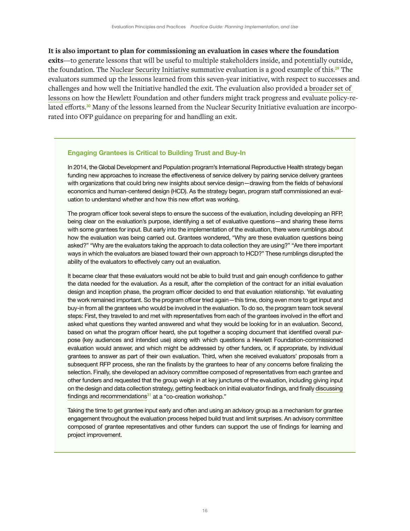# **It is also important to plan for commissioning an evaluation in cases where the foundation**

**exits**—to generate lessons that will be useful to multiple stakeholders inside, and potentially outside, the foundation. The [Nuclear Security Initiative](https://hewlett.org/library/the-william-and-flora-hewlett-foundations-nuclear-security-initiative-findings-from-a-summative-evaluation/) summative evaluation is a good example of this.<sup>29</sup> The evaluators summed up the lessons learned from this seven-year initiative, with respect to successes and challenges and how well the Initiative handled the exit. The evaluation also provided a [broader set of](https://scholarworks.gvsu.edu/cgi/viewcontent.cgi?article=1347&context=tfr)  [lessons](https://scholarworks.gvsu.edu/cgi/viewcontent.cgi?article=1347&context=tfr) on how the Hewlett Foundation and other funders might track progress and evaluate policy-related efforts.<sup>30</sup> Many of the lessons learned from the Nuclear Security Initiative evaluation are incorporated into OFP guidance on preparing for and handling an exit.

### Engaging Grantees is Critical to Building Trust and Buy-In

In 2014, the Global Development and Population program's International Reproductive Health strategy began funding new approaches to increase the effectiveness of service delivery by pairing service delivery grantees with organizations that could bring new insights about service design—drawing from the fields of behavioral economics and human-centered design (HCD). As the strategy began, program staff commissioned an evaluation to understand whether and how this new effort was working.

The program officer took several steps to ensure the success of the evaluation, including developing an RFP, being clear on the evaluation's purpose, identifying a set of evaluative questions—and sharing these items with some grantees for input. But early into the implementation of the evaluation, there were rumblings about how the evaluation was being carried out. Grantees wondered, "Why are these evaluation questions being asked?" "Why are the evaluators taking the approach to data collection they are using?" "Are there important ways in which the evaluators are biased toward their own approach to HCD?" These rumblings disrupted the ability of the evaluators to effectively carry out an evaluation.

It became clear that these evaluators would not be able to build trust and gain enough confidence to gather the data needed for the evaluation. As a result, after the completion of the contract for an initial evaluation design and inception phase, the program officer decided to end that evaluation relationship. Yet evaluating the work remained important. So the program officer tried again—this time, doing even more to get input and buy-in from all the grantees who would be involved in the evaluation. To do so, the program team took several steps: First, they traveled to and met with representatives from each of the grantees involved in the effort and asked what questions they wanted answered and what they would be looking for in an evaluation. Second, based on what the program officer heard, she put together a scoping document that identified overall purpose (key audiences and intended use) along with which questions a Hewlett Foundation-commissioned evaluation would answer, and which might be addressed by other funders, or, if appropriate, by individual grantees to answer as part of their own evaluation. Third, when she received evaluators' proposals from a subsequent RFP process, she ran the finalists by the grantees to hear of any concerns before finalizing the selection. Finally, she developed an advisory committee composed of representatives from each grantee and other funders and requested that the group weigh in at key junctures of the evaluation, including giving input on the design and data collection strategy, getting feedback on initial evaluator findings, and finally [discussing](https://hewlett.org/qa-with-margot-fahnestock-a-teen-centered-approach-to-contraception-in-zambia-and-kenya/) [findings and recommendations](https://hewlett.org/qa-with-margot-fahnestock-a-teen-centered-approach-to-contraception-in-zambia-and-kenya/) $31$  at a "co-creation workshop."

Taking the time to get grantee input early and often and using an advisory group as a mechanism for grantee engagement throughout the evaluation process helped build trust and limit surprises. An advisory committee composed of grantee representatives and other funders can support the use of findings for learning and project improvement.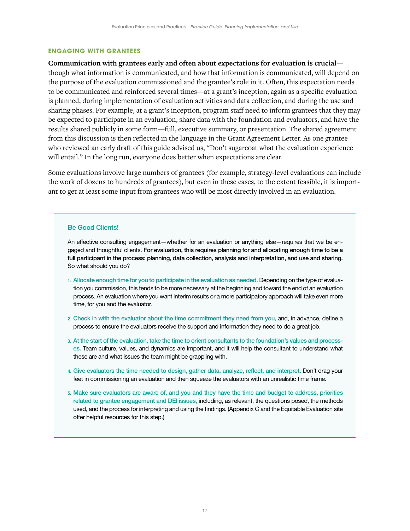#### <span id="page-19-0"></span>**ENGAGING WITH GRANTEES**

**Communication with grantees early and often about expectations for evaluation is crucial** though what information is communicated, and how that information is communicated, will depend on the purpose of the evaluation commissioned and the grantee's role in it. Often, this expectation needs to be communicated and reinforced several times—at a grant's inception, again as a specific evaluation is planned, during implementation of evaluation activities and data collection, and during the use and sharing phases. For example, at a grant's inception, program staff need to inform grantees that they may be expected to participate in an evaluation, share data with the foundation and evaluators, and have the results shared publicly in some form—full, executive summary, or presentation. The shared agreement from this discussion is then reflected in the language in the Grant Agreement Letter. As one grantee who reviewed an early draft of this guide advised us, "Don't sugarcoat what the evaluation experience will entail." In the long run, everyone does better when expectations are clear.

Some evaluations involve large numbers of grantees (for example, strategy-level evaluations can include the work of dozens to hundreds of grantees), but even in these cases, to the extent feasible, it is important to get at least some input from grantees who will be most directly involved in an evaluation.

#### Be Good Clients!

An effective consulting engagement—whether for an evaluation or anything else—requires that we be engaged and thoughtful clients. For evaluation, this requires planning for and allocating enough time to be a full participant in the process: planning, data collection, analysis and interpretation, and use and sharing. So what should you do?

- 1. Allocate enough time for you to participate in the evaluation as needed. Depending on the type of evaluation you commission, this tends to be more necessary at the beginning and toward the end of an evaluation process. An evaluation where you want interim results or a more participatory approach will take even more time, for you and the evaluator.
- 2. Check in with the evaluator about the time commitment they need from you, and, in advance, define a process to ensure the evaluators receive the support and information they need to do a great job.
- 3. At the start of the evaluation, take the time to orient consultants to the foundation's values and processes. Team culture, values, and dynamics are important, and it will help the consultant to understand what these are and what issues the team might be grappling with.
- 4. Give evaluators the time needed to design, gather data, analyze, reflect, and interpret. Don't drag your feet in commissioning an evaluation and then squeeze the evaluators with an unrealistic time frame.
- 5. Make sure evaluators are aware of, and you and they have the time and budget to address, priorities related to grantee engagement and DEI issues, including, as relevant, the questions posed, the methods used, and the process for interpreting and using the findings. (Appendix C and the [Equitable Evaluation site](https://www.equitableeval.org) offer helpful resources for this step.)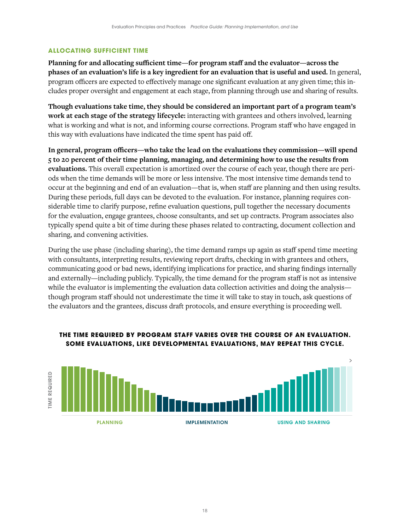# <span id="page-20-0"></span>**ALLOCATING SUFFICIENT TIME**

**Planning for and allocating sufficient time—for program staff and the evaluator—across the phases of an evaluation's life is a key ingredient for an evaluation that is useful and used.** In general, program officers are expected to effectively manage one significant evaluation at any given time; this includes proper oversight and engagement at each stage, from planning through use and sharing of results.

**Though evaluations take time, they should be considered an important part of a program team's work at each stage of the strategy lifecycle:** interacting with grantees and others involved, learning what is working and what is not, and informing course corrections. Program staff who have engaged in this way with evaluations have indicated the time spent has paid off.

**In general, program officers—who take the lead on the evaluations they commission—will spend 5 to 20 percent of their time planning, managing, and determining how to use the results from evaluations.** This overall expectation is amortized over the course of each year, though there are periods when the time demands will be more or less intensive. The most intensive time demands tend to occur at the beginning and end of an evaluation—that is, when staff are planning and then using results. During these periods, full days can be devoted to the evaluation. For instance, planning requires considerable time to clarify purpose, refine evaluation questions, pull together the necessary documents for the evaluation, engage grantees, choose consultants, and set up contracts. Program associates also typically spend quite a bit of time during these phases related to contracting, document collection and sharing, and convening activities.

During the use phase (including sharing), the time demand ramps up again as staff spend time meeting with consultants, interpreting results, reviewing report drafts, checking in with grantees and others, communicating good or bad news, identifying implications for practice, and sharing findings internally and externally—including publicly. Typically, the time demand for the program staff is not as intensive while the evaluator is implementing the evaluation data collection activities and doing the analysisthough program staff should not underestimate the time it will take to stay in touch, ask questions of the evaluators and the grantees, discuss draft protocols, and ensure everything is proceeding well.



# **THE TIME REQUIRED BY PROGRAM STAFF VARIES OVER THE COURSE OF AN EVALUATION. SOME EVALUATIONS, LIKE DEVELOPMENTAL EVALUATIONS, MAY REPEAT THIS CYCLE.**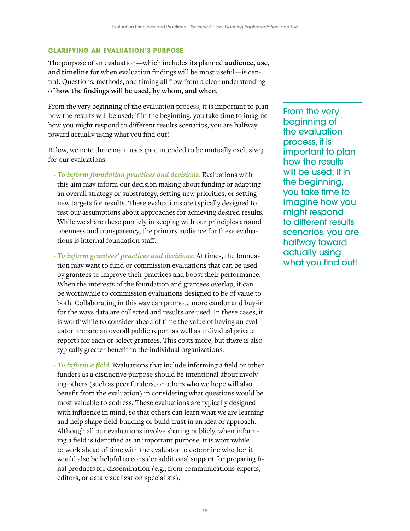#### <span id="page-21-0"></span>**CLARIFYING AN EVALUATION'S PURPOSE**

The purpose of an evaluation—which includes its planned **audience, use, and timeline** for when evaluation findings will be most useful—is central. Questions, methods, and timing all flow from a clear understanding of **how the findings will be used, by whom, and when**.

From the very beginning of the evaluation process, it is important to plan how the results will be used; if in the beginning, you take time to imagine how you might respond to different results scenarios, you are halfway toward actually using what you find out!

Below, we note three main uses (not intended to be mutually exclusive) for our evaluations:

- *To inform foundation practices and decisions.* Evaluations with this aim may inform our decision making about funding or adapting an overall strategy or substrategy, setting new priorities, or setting new targets for results. These evaluations are typically designed to test our assumptions about approaches for achieving desired results. While we share these publicly in keeping with our principles around openness and transparency, the primary audience for these evaluations is internal foundation staff.
- *To inform grantees' practices and decisions.* At times, the foundation may want to fund or commission evaluations that can be used by grantees to improve their practices and boost their performance. When the interests of the foundation and grantees overlap, it can be worthwhile to commission evaluations designed to be of value to both. Collaborating in this way can promote more candor and buy-in for the ways data are collected and results are used. In these cases, it is worthwhile to consider ahead of time the value of having an evaluator prepare an overall public report as well as individual private reports for each or select grantees. This costs more, but there is also typically greater benefit to the individual organizations.
- *To inform a field.* Evaluations that include informing a field or other funders as a distinctive purpose should be intentional about involving others (such as peer funders, or others who we hope will also benefit from the evaluation) in considering what questions would be most valuable to address. These evaluations are typically designed with influence in mind, so that others can learn what we are learning and help shape field-building or build trust in an idea or approach. Although all our evaluations involve sharing publicly, when informing a field is identified as an important purpose, it is worthwhile to work ahead of time with the evaluator to determine whether it would also be helpful to consider additional support for preparing final products for dissemination (e.g., from communications experts, editors, or data visualization specialists).

From the very beginning of the evaluation process, it is important to plan how the results will be used; if in the beginning, you take time to imagine how you might respond to different results scenarios, you are halfway toward actually using what you find out!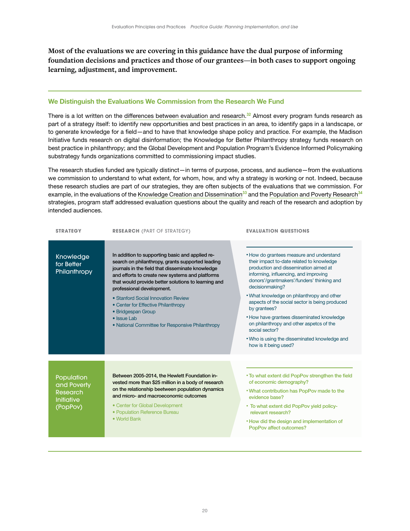**Most of the evaluations we are covering in this guidance have the dual purpose of informing foundation decisions and practices and those of our grantees—in both cases to support ongoing learning, adjustment, and improvement.** 

### We Distinguish the Evaluations We Commission from the Research We Fund

There is a lot written on the [differences between evaluation and research.](https://www.betterevaluation.org/en/blog/difference_between_evaluation_and_research)<sup>32</sup> Almost every program funds research as part of a strategy itself: to identify new opportunities and best practices in an area, to identify gaps in a landscape, or to generate knowledge for a field—and to have that knowledge shape policy and practice. For example, the Madison Initiative funds research on digital disinformation; the Knowledge for Better Philanthropy strategy funds research on best practice in philanthropy; and the Global Development and Population Program's Evidence Informed Policymaking substrategy funds organizations committed to commissioning impact studies.

The research studies funded are typically distinct—in terms of purpose, process, and audience—from the evaluations we commission to understand to what extent, for whom, how, and why a strategy is working or not. Indeed, because these research studies are part of our strategies, they are often subjects of the evaluations that we commission. For example, in the evaluations of the [Knowledge Creation and Dissemination](https://hewlett.org/library/an-evaluation-of-the-knowledge-creation-and-dissemination-strategy/)<sup>33</sup> and the [Population and Poverty Research](https://hewlett.org/wp-content/uploads/2016/08/RR527_REVFINALCOMPILED.pdf)<sup>34</sup> strategies, program staff addressed evaluation questions about the quality and reach of the research and adoption by intended audiences.

| <b>STRATEGY</b>                                                        | <b>RESEARCH (PART OF STRATEGY)</b>                                                                                                                                                                                                                                                                                                                                                                                                                                    | <b>EVALUATION QUESTIONS</b>                                                                                                                                                                                                                                                                                                                                                                                                                                                                                                                    |
|------------------------------------------------------------------------|-----------------------------------------------------------------------------------------------------------------------------------------------------------------------------------------------------------------------------------------------------------------------------------------------------------------------------------------------------------------------------------------------------------------------------------------------------------------------|------------------------------------------------------------------------------------------------------------------------------------------------------------------------------------------------------------------------------------------------------------------------------------------------------------------------------------------------------------------------------------------------------------------------------------------------------------------------------------------------------------------------------------------------|
| Knowledge<br>for Better<br>Philanthropy                                | In addition to supporting basic and applied re-<br>search on philanthropy, grants supported leading<br>journals in the field that disseminate knowledge<br>and efforts to create new systems and platforms<br>that would provide better solutions to learning and<br>professional development.<br>• Stanford Social Innovation Review<br>• Center for Effective Philanthropy<br>• Bridgespan Group<br>• Issue Lab<br>• National Committee for Responsive Philanthropy | • How do grantees measure and understand<br>their impact to-date related to knowledge<br>production and dissemination aimed at<br>informing, influencing, and improving<br>donors'/grantmakers'/funders' thinking and<br>decisionmaking?<br>. What knowledge on philanthropy and other<br>aspects of the social sector is being produced<br>by grantees?<br>• How have grantees disseminated knowledge<br>on philanthropy and other aspetcs of the<br>social sector?<br>. Who is using the disseminated knowledge and<br>how is it being used? |
| Population<br>and Poverty<br>Research<br><b>Initiative</b><br>(PopPov) | Between 2005-2014, the Hewlett Foundation in-<br>vested more than \$25 million in a body of research<br>on the relationship beetween population dynamics<br>and micro- and macroeconomic outcomes<br>• Center for Global Development<br>• Population Reference Bureau<br>• World Bank                                                                                                                                                                                 | . To what extent did PopPov strengthen the field<br>of economic demography?<br>. What contribution has PopPov made to the<br>evidence base?<br>• To what extent did PopPov yield policy-<br>relevant research?<br>• How did the design and implementation of<br>PopPov affect outcomes?                                                                                                                                                                                                                                                        |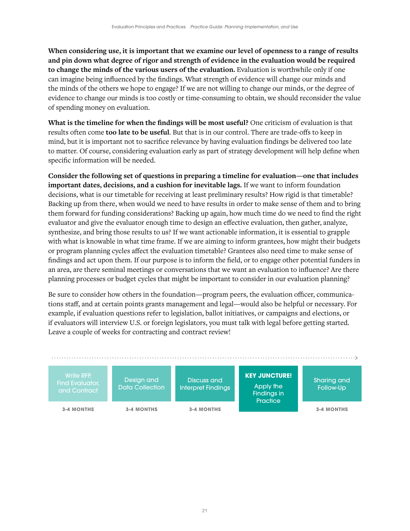**When considering use, it is important that we examine our level of openness to a range of results and pin down what degree of rigor and strength of evidence in the evaluation would be required to change the minds of the various users of the evaluation.** Evaluation is worthwhile only if one can imagine being influenced by the findings. What strength of evidence will change our minds and the minds of the others we hope to engage? If we are not willing to change our minds, or the degree of evidence to change our minds is too costly or time-consuming to obtain, we should reconsider the value of spending money on evaluation.

**What is the timeline for when the findings will be most useful?** One criticism of evaluation is that results often come **too late to be useful**. But that is in our control. There are trade-offs to keep in mind, but it is important not to sacrifice relevance by having evaluation findings be delivered too late to matter. Of course, considering evaluation early as part of strategy development will help define when specific information will be needed.

**Consider the following set of questions in preparing a timeline for evaluation—one that includes important dates, decisions, and a cushion for inevitable lags.** If we want to inform foundation decisions, what is our timetable for receiving at least preliminary results? How rigid is that timetable? Backing up from there, when would we need to have results in order to make sense of them and to bring them forward for funding considerations? Backing up again, how much time do we need to find the right evaluator and give the evaluator enough time to design an effective evaluation, then gather, analyze, synthesize, and bring those results to us? If we want actionable information, it is essential to grapple with what is knowable in what time frame. If we are aiming to inform grantees, how might their budgets or program planning cycles affect the evaluation timetable? Grantees also need time to make sense of findings and act upon them. If our purpose is to inform the field, or to engage other potential funders in an area, are there seminal meetings or conversations that we want an evaluation to influence? Are there planning processes or budget cycles that might be important to consider in our evaluation planning?

Be sure to consider how others in the foundation—program peers, the evaluation officer, communications staff, and at certain points grants management and legal—would also be helpful or necessary. For example, if evaluation questions refer to legislation, ballot initiatives, or campaigns and elections, or if evaluators will interview U.S. or foreign legislators, you must talk with legal before getting started. Leave a couple of weeks for contracting and contract review!

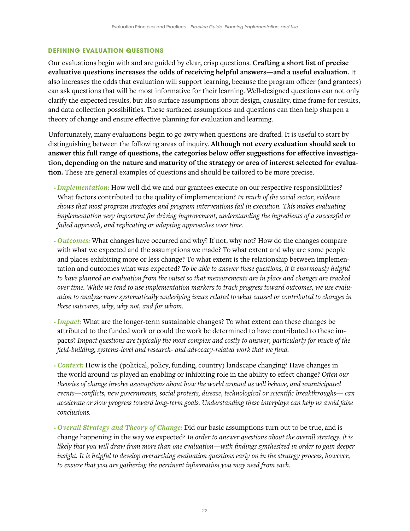#### <span id="page-24-0"></span>**DEFINING EVALUATION QUESTIONS**

Our evaluations begin with and are guided by clear, crisp questions. **Crafting a short list of precise evaluative questions increases the odds of receiving helpful answers—and a useful evaluation.** It also increases the odds that evaluation will support learning, because the program officer (and grantees) can ask questions that will be most informative for their learning. Well-designed questions can not only clarify the expected results, but also surface assumptions about design, causality, time frame for results, and data collection possibilities. These surfaced assumptions and questions can then help sharpen a theory of change and ensure effective planning for evaluation and learning.

Unfortunately, many evaluations begin to go awry when questions are drafted. It is useful to start by distinguishing between the following areas of inquiry. **Although not every evaluation should seek to answer this full range of questions, the categories below offer suggestions for effective investigation, depending on the nature and maturity of the strategy or area of interest selected for evaluation.** These are general examples of questions and should be tailored to be more precise.

- *Implementation:* How well did we and our grantees execute on our respective responsibilities? What factors contributed to the quality of implementation? *In much of the social sector, evidence shows that most program strategies and program interventions fail in execution. This makes evaluating implementation very important for driving improvement, understanding the ingredients of a successful or failed approach, and replicating or adapting approaches over time.*
- *Outcomes:* What changes have occurred and why? If not, why not? How do the changes compare with what we expected and the assumptions we made? To what extent and why are some people and places exhibiting more or less change? To what extent is the relationship between implementation and outcomes what was expected? *To be able to answer these questions, it is enormously helpful to have planned an evaluation from the outset so that measurements are in place and changes are tracked over time. While we tend to use implementation markers to track progress toward outcomes, we use evaluation to analyze more systematically underlying issues related to what caused or contributed to changes in these outcomes, why, why not, and for whom.*
- *Impact:* What are the longer-term sustainable changes? To what extent can these changes be attributed to the funded work or could the work be determined to have contributed to these impacts? *Impact questions are typically the most complex and costly to answer, particularly for much of the field-building, systems-level and research- and advocacy-related work that we fund.*
- *Context:* How is the (political, policy, funding, country) landscape changing? Have changes in the world around us played an enabling or inhibiting role in the ability to effect change? *Often our theories of change involve assumptions about how the world around us will behave, and unanticipated events—conflicts, new governments, social protests, disease, technological or scientific breakthroughs— can accelerate or slow progress toward long-term goals. Understanding these interplays can help us avoid false conclusions.*
- *Overall Strategy and Theory of Change:* Did our basic assumptions turn out to be true, and is change happening in the way we expected? *In order to answer questions about the overall strategy, it is likely that you will draw from more than one evaluation—with findings synthesized in order to gain deeper insight. It is helpful to develop overarching evaluation questions early on in the strategy process, however, to ensure that you are gathering the pertinent information you may need from each.*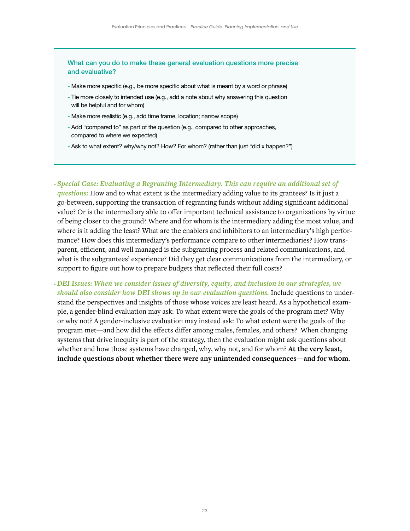What can you do to make these general evaluation questions more precise and evaluative?

- Make more specific (e.g., be more specific about what is meant by a word or phrase)
- Tie more closely to intended use (e.g., add a note about why answering this question will be helpful and for whom)
- Make more realistic (e.g., add time frame, location; narrow scope)
- Add "compared to" as part of the question (e.g., compared to other approaches, compared to where we expected)
- Ask to what extent? why/why not? How? For whom? (rather than just "did x happen?")

• *Special Case: Evaluating a Regranting Intermediary. This can require an additional set of questions:* How and to what extent is the intermediary adding value to its grantees? Is it just a go-between, supporting the transaction of regranting funds without adding significant additional value? Or is the intermediary able to offer important technical assistance to organizations by virtue of being closer to the ground? Where and for whom is the intermediary adding the most value, and where is it adding the least? What are the enablers and inhibitors to an intermediary's high performance? How does this intermediary's performance compare to other intermediaries? How transparent, efficient, and well managed is the subgranting process and related communications, and what is the subgrantees' experience? Did they get clear communications from the intermediary, or support to figure out how to prepare budgets that reflected their full costs?

• *DEI Issues: When we consider issues of diversity, equity, and inclusion in our strategies, we should also consider how DEI shows up in our evaluation questions.* Include questions to understand the perspectives and insights of those whose voices are least heard. As a hypothetical example, a gender-blind evaluation may ask: To what extent were the goals of the program met? Why or why not? A gender-inclusive evaluation may instead ask: To what extent were the goals of the program met—and how did the effects differ among males, females, and others? When changing systems that drive inequity is part of the strategy, then the evaluation might ask questions about whether and how those systems have changed, why, why not, and for whom? **At the very least, include questions about whether there were any unintended consequences—and for whom.**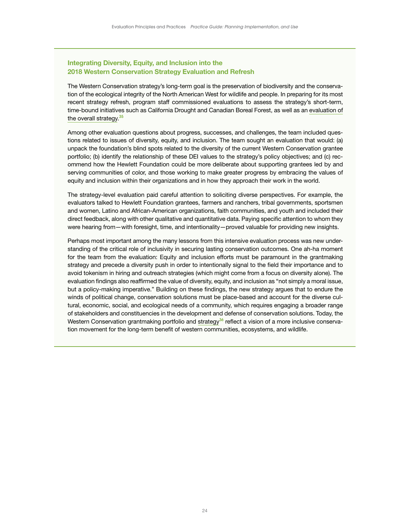# Integrating Diversity, Equity, and Inclusion into the 2018 Western Conservation Strategy Evaluation and Refresh

The Western Conservation strategy's long-term goal is the preservation of biodiversity and the conservation of the ecological integrity of the North American West for wildlife and people. In preparing for its most recent strategy refresh, program staff commissioned evaluations to assess the strategy's short-term, time-bound initiatives such as California Drought and Canadian Boreal Forest, as well as an [evaluation of](https://hewlett.org/library/best-practices-for-enduring-conservation-five-year-retrospective-of-the-hewlett-foundations-western-conservation-grantmaking-strategy/) [the overall strategy](https://hewlett.org/library/best-practices-for-enduring-conservation-five-year-retrospective-of-the-hewlett-foundations-western-conservation-grantmaking-strategy/).<sup>35</sup>

Among other evaluation questions about progress, successes, and challenges, the team included questions related to issues of diversity, equity, and inclusion. The team sought an evaluation that would: (a) unpack the foundation's blind spots related to the diversity of the current Western Conservation grantee portfolio; (b) identify the relationship of these DEI values to the strategy's policy objectives; and (c) recommend how the Hewlett Foundation could be more deliberate about supporting grantees led by and serving communities of color, and those working to make greater progress by embracing the values of equity and inclusion within their organizations and in how they approach their work in the world.

The strategy-level evaluation paid careful attention to soliciting diverse perspectives. For example, the evaluators talked to Hewlett Foundation grantees, farmers and ranchers, tribal governments, sportsmen and women, Latino and African-American organizations, faith communities, and youth and included their direct feedback, along with other qualitative and quantitative data. Paying specific attention to whom they were hearing from—with foresight, time, and intentionality—proved valuable for providing new insights.

Perhaps most important among the many lessons from this intensive evaluation process was new understanding of the critical role of inclusivity in securing lasting conservation outcomes. One ah-ha moment for the team from the evaluation: Equity and inclusion efforts must be paramount in the grantmaking strategy and precede a diversity push in order to intentionally signal to the field their importance and to avoid tokenism in hiring and outreach strategies (which might come from a focus on diversity alone). The evaluation findings also reaffirmed the value of diversity, equity, and inclusion as "not simply a moral issue, but a policy-making imperative." Building on these findings, the new strategy argues that to endure the winds of political change, conservation solutions must be place-based and account for the diverse cultural, economic, social, and ecological needs of a community, which requires engaging a broader range of stakeholders and constituencies in the development and defense of conservation solutions. Today, the Western Conservation grantmaking portfolio and [strategy](https://hewlett.org/a-new-conservation-grantmaking-strategy-for-todays-challenges/)<sup>36</sup> reflect a vision of a more inclusive conservation movement for the long-term benefit of western communities, ecosystems, and wildlife.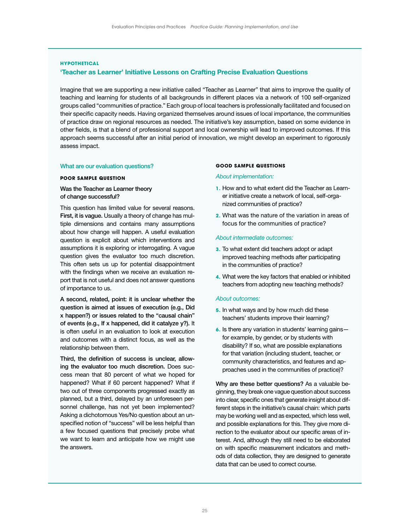# **HYPOTHETICAL** 'Teacher as Learner' Initiative Lessons on Crafting Precise Evaluation Questions

Imagine that we are supporting a new initiative called "Teacher as Learner" that aims to improve the quality of teaching and learning for students of all backgrounds in different places via a network of 100 self-organized groups called "communities of practice." Each group of local teachers is professionally facilitated and focused on their specific capacity needs. Having organized themselves around issues of local importance, the communities of practice draw on regional resources as needed. The initiative's key assumption, based on some evidence in other fields, is that a blend of professional support and local ownership will lead to improved outcomes. If this approach seems successful after an initial period of innovation, we might develop an experiment to rigorously assess impact.

#### What are our evaluation questions?

#### **POOR SAMPLE QUESTION**

#### Was the Teacher as Learner theory of change successful?

This question has limited value for several reasons. First, it is vague. Usually a theory of change has multiple dimensions and contains many assumptions about how change will happen. A useful evaluation question is explicit about which interventions and assumptions it is exploring or interrogating. A vague question gives the evaluator too much discretion. This often sets us up for potential disappointment with the findings when we receive an evaluation report that is not useful and does not answer questions of importance to us.

A second, related, point: it is unclear whether the question is aimed at issues of execution (e.g., Did x happen?) or issues related to the "causal chain" of events (e.g., If x happened, did it catalyze y?). It is often useful in an evaluation to look at execution and outcomes with a distinct focus, as well as the relationship between them.

Third, the definition of success is unclear, allowing the evaluator too much discretion. Does success mean that 80 percent of what we hoped for happened? What if 60 percent happened? What if two out of three components progressed exactly as planned, but a third, delayed by an unforeseen personnel challenge, has not yet been implemented? Asking a dichotomous Yes/No question about an unspecified notion of "success" will be less helpful than a few focused questions that precisely probe what we want to learn and anticipate how we might use the answers.

#### **GOOD SAMPLE QUESTIONS**

#### *About implementation:*

- **1.** How and to what extent did the Teacher as Learner initiative create a network of local, self-organized communities of practice?
- **2.** What was the nature of the variation in areas of focus for the communities of practice?

#### *About intermediate outcomes:*

- **3.** To what extent did teachers adopt or adapt improved teaching methods after participating in the communities of practice?
- **4.** What were the key factors that enabled or inhibited teachers from adopting new teaching methods?

#### *About outcomes:*

- **5.** In what ways and by how much did these teachers' students improve their learning?
- **6.** Is there any variation in students' learning gains for example, by gender, or by students with disability? If so, what are possible explanations for that variation (including student, teacher, or community characteristics, and features and approaches used in the communities of practice)?

Why are these better questions? As a valuable beginning, they break one vague question about success into clear, specific ones that generate insight about different steps in the initiative's causal chain: which parts may be working well and as expected, which less well, and possible explanations for this. They give more direction to the evaluator about our specific areas of interest. And, although they still need to be elaborated on with specific measurement indicators and methods of data collection, they are designed to generate data that can be used to correct course.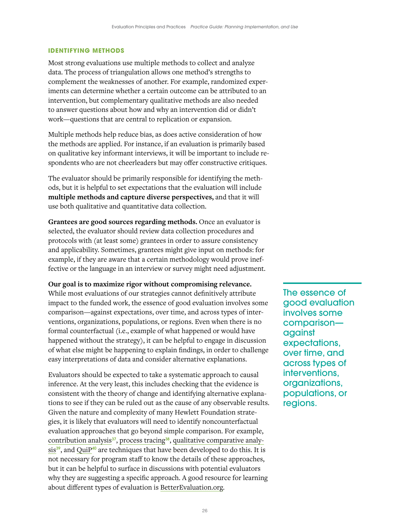#### <span id="page-28-0"></span>**IDENTIFYING METHODS**

Most strong evaluations use multiple methods to collect and analyze data. The process of triangulation allows one method's strengths to complement the weaknesses of another. For example, randomized experiments can determine whether a certain outcome can be attributed to an intervention, but complementary qualitative methods are also needed to answer questions about how and why an intervention did or didn't work—questions that are central to replication or expansion.

Multiple methods help reduce bias, as does active consideration of how the methods are applied. For instance, if an evaluation is primarily based on qualitative key informant interviews, it will be important to include respondents who are not cheerleaders but may offer constructive critiques.

The evaluator should be primarily responsible for identifying the methods, but it is helpful to set expectations that the evaluation will include **multiple methods and capture diverse perspectives,** and that it will use both qualitative and quantitative data collection.

**Grantees are good sources regarding methods.** Once an evaluator is selected, the evaluator should review data collection procedures and protocols with (at least some) grantees in order to assure consistency and applicability. Sometimes, grantees might give input on methods: for example, if they are aware that a certain methodology would prove ineffective or the language in an interview or survey might need adjustment.

**Our goal is to maximize rigor without compromising relevance.** 

While most evaluations of our strategies cannot definitively attribute impact to the funded work, the essence of good evaluation involves some comparison—against expectations, over time, and across types of interventions, organizations, populations, or regions. Even when there is no formal counterfactual (i.e., example of what happened or would have happened without the strategy), it can be helpful to engage in discussion of what else might be happening to explain findings, in order to challenge easy interpretations of data and consider alternative explanations.

Evaluators should be expected to take a systematic approach to causal inference. At the very least, this includes checking that the evidence is consistent with the theory of change and identifying alternative explanations to see if they can be ruled out as the cause of any observable results. Given the nature and complexity of many Hewlett Foundation strategies, it is likely that evaluators will need to identify noncounterfactual evaluation approaches that go beyond simple comparison. For example, [contribution analysis](https://www.betterevaluation.org/en/plan/approach/contribution_analysis)<sup>37</sup>, [process tracing](https://www.betterevaluation.org/evaluation-options/processtracing)<sup>38</sup>, [qualitative comparative analy](https://www.betterevaluation.org/evaluation-options/qualitative_comparative_analysis)[sis](https://www.betterevaluation.org/evaluation-options/qualitative_comparative_analysis)<sup>39</sup>, and [QuiP](https://www.betterevaluation.org/en/plan/approach/QUIP)<sup>40</sup> are techniques that have been developed to do this. It is not necessary for program staff to know the details of these approaches, but it can be helpful to surface in discussions with potential evaluators why they are suggesting a specific approach. A good resource for learning about different types of evaluation is [BetterEvaluation.org](https://www.betterevaluation.org).

The essence of good evaluation involves some comparison against expectations, over time, and across types of interventions, organizations, populations, or regions.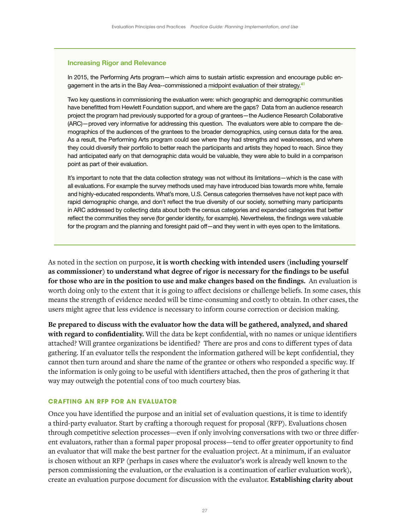### <span id="page-29-0"></span>Increasing Rigor and Relevance

In 2015, the Performing Arts program—which aims to sustain artistic expression and encourage public engagement in the arts in the Bay Area--commissioned a [midpoint evaluation of their strategy.](https://hewlett.org/taking-stock-of-our-performing-arts-grantmaking/)<sup>41</sup>

Two key questions in commissioning the evaluation were: which geographic and demographic communities have benefitted from Hewlett Foundation support, and where are the gaps? Data from an audience research project the program had previously supported for a group of grantees—the Audience Research Collaborative (ARC)—proved very informative for addressing this question. The evaluators were able to compare the demographics of the audiences of the grantees to the broader demographics, using census data for the area. As a result, the Performing Arts program could see where they had strengths and weaknesses, and where they could diversify their portfolio to better reach the participants and artists they hoped to reach. Since they had anticipated early on that demographic data would be valuable, they were able to build in a comparison point as part of their evaluation.

It's important to note that the data collection strategy was not without its limitations—which is the case with all evaluations. For example the survey methods used may have introduced bias towards more white, female and highly-educated respondents. What's more, U.S. Census categories themselves have not kept pace with rapid demographic change, and don't reflect the true diversity of our society, something many participants in ARC addressed by collecting data about both the census categories and expanded categories that better reflect the communities they serve (for gender identity, for example). Nevertheless, the findings were valuable for the program and the planning and foresight paid off—and they went in with eyes open to the limitations.

As noted in the section on purpose, **it is worth checking with intended users (including yourself as commissioner) to understand what degree of rigor is necessary for the findings to be useful for those who are in the position to use and make changes based on the findings.** An evaluation is worth doing only to the extent that it is going to affect decisions or challenge beliefs. In some cases, this means the strength of evidence needed will be time-consuming and costly to obtain. In other cases, the users might agree that less evidence is necessary to inform course correction or decision making.

**Be prepared to discuss with the evaluator how the data will be gathered, analyzed, and shared with regard to confidentiality.** Will the data be kept confidential, with no names or unique identifiers attached? Will grantee organizations be identified? There are pros and cons to different types of data gathering. If an evaluator tells the respondent the information gathered will be kept confidential, they cannot then turn around and share the name of the grantee or others who responded a specific way. If the information is only going to be useful with identifiers attached, then the pros of gathering it that way may outweigh the potential cons of too much courtesy bias.

### **CRAFTING AN RFP FOR AN EVALUATOR**

Once you have identified the purpose and an initial set of evaluation questions, it is time to identify a third-party evaluator. Start by crafting a thorough request for proposal (RFP). Evaluations chosen through competitive selection processes—even if only involving conversations with two or three different evaluators, rather than a formal paper proposal process—tend to offer greater opportunity to find an evaluator that will make the best partner for the evaluation project. At a minimum, if an evaluator is chosen without an RFP (perhaps in cases where the evaluator's work is already well known to the person commissioning the evaluation, or the evaluation is a continuation of earlier evaluation work), create an evaluation purpose document for discussion with the evaluator. **Establishing clarity about**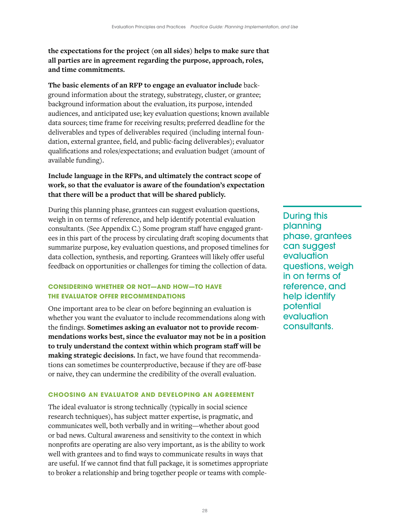<span id="page-30-0"></span>**the expectations for the project (on all sides) helps to make sure that all parties are in agreement regarding the purpose, approach, roles, and time commitments.** 

**The basic elements of an RFP to engage an evaluator include** background information about the strategy, substrategy, cluster, or grantee; background information about the evaluation, its purpose, intended audiences, and anticipated use; key evaluation questions; known available data sources; time frame for receiving results; preferred deadline for the deliverables and types of deliverables required (including internal foundation, external grantee, field, and public-facing deliverables); evaluator qualifications and roles/expectations; and evaluation budget (amount of available funding).

# **Include language in the RFPs, and ultimately the contract scope of work, so that the evaluator is aware of the foundation's expectation that there will be a product that will be shared publicly.**

During this planning phase, grantees can suggest evaluation questions, weigh in on terms of reference, and help identify potential evaluation consultants. (See Appendix C.) Some program staff have engaged grantees in this part of the process by circulating draft scoping documents that summarize purpose, key evaluation questions, and proposed timelines for data collection, synthesis, and reporting. Grantees will likely offer useful feedback on opportunities or challenges for timing the collection of data.

# **CONSIDERING WHETHER OR NOT—AND HOW—TO HAVE THE EVALUATOR OFFER RECOMMENDATIONS**

One important area to be clear on before beginning an evaluation is whether you want the evaluator to include recommendations along with the findings. **Sometimes asking an evaluator not to provide recommendations works best, since the evaluator may not be in a position to truly understand the context within which program staff will be making strategic decisions.** In fact, we have found that recommendations can sometimes be counterproductive, because if they are off-base or naive, they can undermine the credibility of the overall evaluation.

# **CHOOSING AN EVALUATOR AND DEVELOPING AN AGREEMENT**

The ideal evaluator is strong technically (typically in social science research techniques), has subject matter expertise, is pragmatic, and communicates well, both verbally and in writing—whether about good or bad news. Cultural awareness and sensitivity to the context in which nonprofits are operating are also very important, as is the ability to work well with grantees and to find ways to communicate results in ways that are useful. If we cannot find that full package, it is sometimes appropriate to broker a relationship and bring together people or teams with compleDuring this planning phase, grantees can suggest evaluation questions, weigh in on terms of reference, and help identify potential evaluation consultants.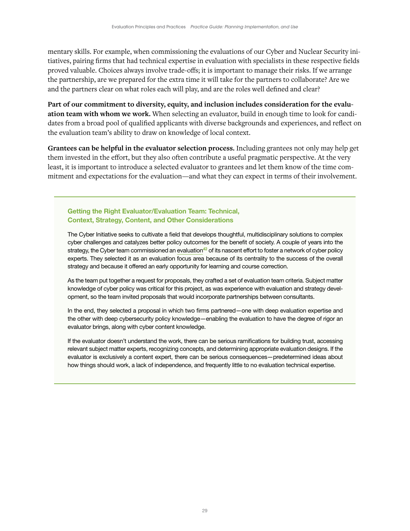mentary skills. For example, when commissioning the evaluations of our Cyber and Nuclear Security initiatives, pairing firms that had technical expertise in evaluation with specialists in these respective fields proved valuable. Choices always involve trade-offs; it is important to manage their risks. If we arrange the partnership, are we prepared for the extra time it will take for the partners to collaborate? Are we and the partners clear on what roles each will play, and are the roles well defined and clear?

**Part of our commitment to diversity, equity, and inclusion includes consideration for the evaluation team with whom we work.** When selecting an evaluator, build in enough time to look for candidates from a broad pool of qualified applicants with diverse backgrounds and experiences, and reflect on the evaluation team's ability to draw on knowledge of local context.

**Grantees can be helpful in the evaluator selection process.** Including grantees not only may help get them invested in the effort, but they also often contribute a useful pragmatic perspective. At the very least, it is important to introduce a selected evaluator to grantees and let them know of the time commitment and expectations for the evaluation—and what they can expect in terms of their involvement.

Getting the Right Evaluator/Evaluation Team: Technical, Context, Strategy, Content, and Other Considerations

The Cyber Initiative seeks to cultivate a field that develops thoughtful, multidisciplinary solutions to complex cyber challenges and catalyzes better policy outcomes for the benefit of society. A couple of years into the strategy, the Cyber team commissioned an [evaluation](https://hewlett.org/library/evaluation-network-building/) $42$  of its nascent effort to foster a network of cyber policy experts. They selected it as an evaluation focus area because of its centrality to the success of the overall strategy and because it offered an early opportunity for learning and course correction.

As the team put together a request for proposals, they crafted a set of evaluation team criteria. Subject matter knowledge of cyber policy was critical for this project, as was experience with evaluation and strategy development, so the team invited proposals that would incorporate partnerships between consultants.

In the end, they selected a proposal in which two firms partnered—one with deep evaluation expertise and the other with deep cybersecurity policy knowledge—enabling the evaluation to have the degree of rigor an evaluator brings, along with cyber content knowledge.

If the evaluator doesn't understand the work, there can be serious ramifications for building trust, accessing relevant subject matter experts, recognizing concepts, and determining appropriate evaluation designs. If the evaluator is exclusively a content expert, there can be serious consequences—predetermined ideas about how things should work, a lack of independence, and frequently little to no evaluation technical expertise.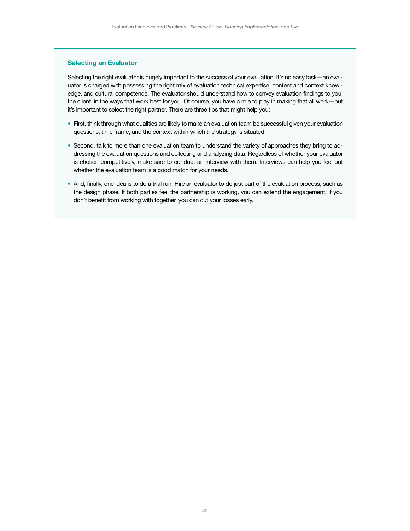### Selecting an Evaluator

Selecting the right evaluator is hugely important to the success of your evaluation. It's no easy task—an evaluator is charged with possessing the right mix of evaluation technical expertise, content and context knowledge, and cultural competence. The evaluator should understand how to convey evaluation findings to you, the client, in the ways that work best for you. Of course, you have a role to play in making that all work—but it's important to select the right partner. There are three tips that might help you:

- First, think through what qualities are likely to make an evaluation team be successful given your evaluation questions, time frame, and the context within which the strategy is situated.
- Second, talk to more than one evaluation team to understand the variety of approaches they bring to addressing the evaluation questions and collecting and analyzing data. Regardless of whether your evaluator is chosen competitively, make sure to conduct an interview with them. Interviews can help you feel out whether the evaluation team is a good match for your needs.
- And, finally, one idea is to do a trial run: Hire an evaluator to do just part of the evaluation process, such as the design phase. If both parties feel the partnership is working, you can extend the engagement. If you don't benefit from working with together, you can cut your losses early.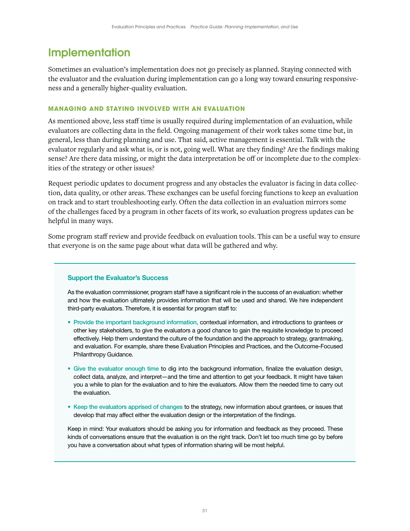# <span id="page-33-0"></span>**Implementation**

Sometimes an evaluation's implementation does not go precisely as planned. Staying connected with the evaluator and the evaluation during implementation can go a long way toward ensuring responsiveness and a generally higher-quality evaluation.

# **MANAGING AND STAYING INVOLVED WITH AN EVALUATION**

As mentioned above, less staff time is usually required during implementation of an evaluation, while evaluators are collecting data in the field. Ongoing management of their work takes some time but, in general, less than during planning and use. That said, active management is essential. Talk with the evaluator regularly and ask what is, or is not, going well. What are they finding? Are the findings making sense? Are there data missing, or might the data interpretation be off or incomplete due to the complexities of the strategy or other issues?

Request periodic updates to document progress and any obstacles the evaluator is facing in data collection, data quality, or other areas. These exchanges can be useful forcing functions to keep an evaluation on track and to start troubleshooting early. Often the data collection in an evaluation mirrors some of the challenges faced by a program in other facets of its work, so evaluation progress updates can be helpful in many ways.

Some program staff review and provide feedback on evaluation tools. This can be a useful way to ensure that everyone is on the same page about what data will be gathered and why.

# Support the Evaluator's Success

As the evaluation commissioner, program staff have a significant role in the success of an evaluation: whether and how the evaluation ultimately provides information that will be used and shared. We hire independent third-party evaluators. Therefore, it is essential for program staff to:

- Provide the important background information, contextual information, and introductions to grantees or other key stakeholders, to give the evaluators a good chance to gain the requisite knowledge to proceed effectively. Help them understand the culture of the foundation and the approach to strategy, grantmaking, and evaluation. For example, share these Evaluation Principles and Practices, and the Outcome-Focused Philanthropy Guidance.
- Give the evaluator enough time to dig into the background information, finalize the evaluation design, collect data, analyze, and interpret—and the time and attention to get your feedback. It might have taken you a while to plan for the evaluation and to hire the evaluators. Allow them the needed time to carry out the evaluation.
- Keep the evaluators apprised of changes to the strategy, new information about grantees, or issues that develop that may affect either the evaluation design or the interpretation of the findings.

Keep in mind: Your evaluators should be asking you for information and feedback as they proceed. These kinds of conversations ensure that the evaluation is on the right track. Don't let too much time go by before you have a conversation about what types of information sharing will be most helpful.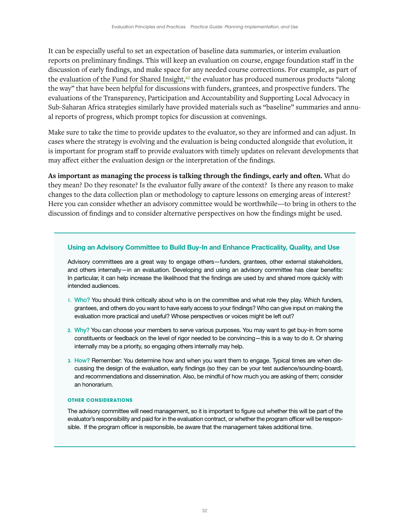It can be especially useful to set an expectation of baseline data summaries, or interim evaluation reports on preliminary findings. This will keep an evaluation on course, engage foundation staff in the discussion of early findings, and make space for any needed course corrections. For example, as part of the [evaluation of the Fund for Shared Insight,](https://www.fundforsharedinsight.org/knowledge/?t=evaluating-our-work#knowledge-tabs%7C3||knowledge-tabs|3)<sup>43</sup> the evaluator has produced numerous products "along the way" that have been helpful for discussions with funders, grantees, and prospective funders. The evaluations of the Transparency, Participation and Accountability and Supporting Local Advocacy in Sub-Saharan Africa strategies similarly have provided materials such as "baseline" summaries and annual reports of progress, which prompt topics for discussion at convenings.

Make sure to take the time to provide updates to the evaluator, so they are informed and can adjust. In cases where the strategy is evolving and the evaluation is being conducted alongside that evolution, it is important for program staff to provide evaluators with timely updates on relevant developments that may affect either the evaluation design or the interpretation of the findings.

**As important as managing the process is talking through the findings, early and often.** What do they mean? Do they resonate? Is the evaluator fully aware of the context? Is there any reason to make changes to the data collection plan or methodology to capture lessons on emerging areas of interest? Here you can consider whether an advisory committee would be worthwhile—to bring in others to the discussion of findings and to consider alternative perspectives on how the findings might be used.

### Using an Advisory Committee to Build Buy-In and Enhance Practicality, Quality, and Use

Advisory committees are a great way to engage others—funders, grantees, other external stakeholders, and others internally—in an evaluation. Developing and using an advisory committee has clear benefits: In particular, it can help increase the likelihood that the findings are used by and shared more quickly with intended audiences.

- 1. Who? You should think critically about who is on the committee and what role they play. Which funders, grantees, and others do you want to have early access to your findings? Who can give input on making the evaluation more practical and useful? Whose perspectives or voices might be left out?
- 2. Why? You can choose your members to serve various purposes. You may want to get buy-in from some constituents or feedback on the level of rigor needed to be convincing—this is a way to do it. Or sharing internally may be a priority, so engaging others internally may help.
- 3. How? Remember: You determine how and when you want them to engage. Typical times are when discussing the design of the evaluation, early findings (so they can be your test audience/sounding-board), and recommendations and dissemination. Also, be mindful of how much you are asking of them; consider an honorarium.

#### **OTHER CONSIDERATIONS**

The advisory committee will need management, so it is important to figure out whether this will be part of the evaluator's responsibility and paid for in the evaluation contract, or whether the program officer will be responsible. If the program officer is responsible, be aware that the management takes additional time.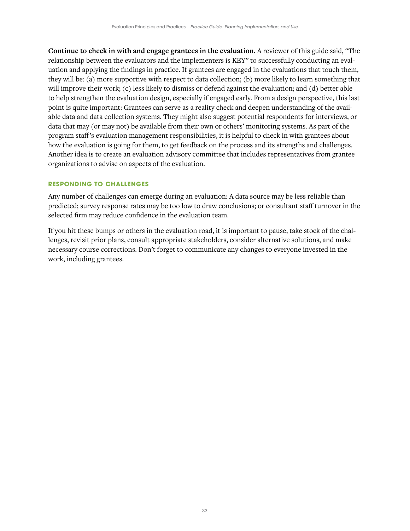<span id="page-35-0"></span>**Continue to check in with and engage grantees in the evaluation.** A reviewer of this guide said, "The relationship between the evaluators and the implementers is KEY" to successfully conducting an evaluation and applying the findings in practice. If grantees are engaged in the evaluations that touch them, they will be: (a) more supportive with respect to data collection; (b) more likely to learn something that will improve their work; (c) less likely to dismiss or defend against the evaluation; and (d) better able to help strengthen the evaluation design, especially if engaged early. From a design perspective, this last point is quite important: Grantees can serve as a reality check and deepen understanding of the available data and data collection systems. They might also suggest potential respondents for interviews, or data that may (or may not) be available from their own or others' monitoring systems. As part of the program staff's evaluation management responsibilities, it is helpful to check in with grantees about how the evaluation is going for them, to get feedback on the process and its strengths and challenges. Another idea is to create an evaluation advisory committee that includes representatives from grantee organizations to advise on aspects of the evaluation.

# **RESPONDING TO CHALLENGES**

Any number of challenges can emerge during an evaluation: A data source may be less reliable than predicted; survey response rates may be too low to draw conclusions; or consultant staff turnover in the selected firm may reduce confidence in the evaluation team.

If you hit these bumps or others in the evaluation road, it is important to pause, take stock of the challenges, revisit prior plans, consult appropriate stakeholders, consider alternative solutions, and make necessary course corrections. Don't forget to communicate any changes to everyone invested in the work, including grantees.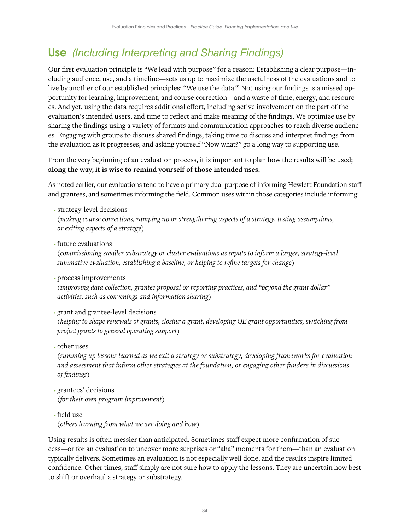# <span id="page-36-0"></span>Use *(Including Interpreting and Sharing Findings)*

Our first evaluation principle is "We lead with purpose" for a reason: Establishing a clear purpose—including audience, use, and a timeline—sets us up to maximize the usefulness of the evaluations and to live by another of our established principles: "We use the data!" Not using our findings is a missed opportunity for learning, improvement, and course correction—and a waste of time, energy, and resources. And yet, using the data requires additional effort, including active involvement on the part of the evaluation's intended users, and time to reflect and make meaning of the findings. We optimize use by sharing the findings using a variety of formats and communication approaches to reach diverse audiences. Engaging with groups to discuss shared findings, taking time to discuss and interpret findings from the evaluation as it progresses, and asking yourself "Now what?" go a long way to supporting use.

From the very beginning of an evaluation process, it is important to plan how the results will be used; **along the way, it is wise to remind yourself of those intended uses.**

As noted earlier, our evaluations tend to have a primary dual purpose of informing Hewlett Foundation staff and grantees, and sometimes informing the field. Common uses within those categories include informing:

• strategy-level decisions

*(making course corrections, ramping up or strengthening aspects of a strategy, testing assumptions, or exiting aspects of a strategy)*

• future evaluations

*(commissioning smaller substrategy or cluster evaluations as inputs to inform a larger, strategy-level summative evaluation, establishing a baseline, or helping to refine targets for change)*

• process improvements

*(improving data collection, grantee proposal or reporting practices, and "beyond the grant dollar" activities, such as convenings and information sharing)*

• grant and grantee-level decisions

*(helping to shape renewals of grants, closing a grant, developing OE grant opportunities, switching from project grants to general operating support)*

• other uses

*(summing up lessons learned as we exit a strategy or substrategy, developing frameworks for evaluation and assessment that inform other strategies at the foundation, or engaging other funders in discussions of findings)*

- grantees' decisions *(for their own program improvement)*
- field use *(others learning from what we are doing and how)*

Using results is often messier than anticipated. Sometimes staff expect more confirmation of success—or for an evaluation to uncover more surprises or "aha" moments for them—than an evaluation typically delivers. Sometimes an evaluation is not especially well done, and the results inspire limited confidence. Other times, staff simply are not sure how to apply the lessons. They are uncertain how best to shift or overhaul a strategy or substrategy.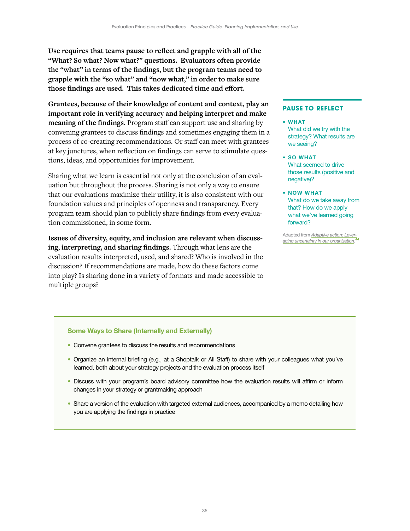**Use requires that teams pause to reflect and grapple with all of the "What? So what? Now what?" questions. Evaluators often provide the "what" in terms of the findings, but the program teams need to grapple with the "so what" and "now what," in order to make sure those findings are used. This takes dedicated time and effort.**

**Grantees, because of their knowledge of content and context, play an important role in verifying accuracy and helping interpret and make meaning of the findings.** Program staff can support use and sharing by convening grantees to discuss findings and sometimes engaging them in a process of co-creating recommendations. Or staff can meet with grantees at key junctures, when reflection on findings can serve to stimulate questions, ideas, and opportunities for improvement.

Sharing what we learn is essential not only at the conclusion of an evaluation but throughout the process. Sharing is not only a way to ensure that our evaluations maximize their utility, it is also consistent with our foundation values and principles of openness and transparency. Every program team should plan to publicly share findings from every evaluation commissioned, in some form.

**Issues of diversity, equity, and inclusion are relevant when discussing, interpreting, and sharing findings.** Through what lens are the evaluation results interpreted, used, and shared? Who is involved in the discussion? If recommendations are made, how do these factors come into play? Is sharing done in a variety of formats and made accessible to multiple groups?

### **PAUSE TO REFLECT**

- WHAT
	- What did we try with the strategy? What results are we seeing?
- SO WHAT What seemed to drive those results (positive and negative)?
- NOW WHAT What do we take away from that? How do we apply what we've learned going forward?

Adapted from *[Adaptive action: Lever](https://www.sup.org/books/title/?id=21971)[aging uncertainty in our organization](https://www.sup.org/books/title/?id=21971).* 44

#### Some Ways to Share (Internally and Externally)

- Convene grantees to discuss the results and recommendations
- Organize an internal briefing (e.g., at a Shoptalk or All Staff) to share with your colleagues what you've learned, both about your strategy projects and the evaluation process itself
- Discuss with your program's board advisory committee how the evaluation results will affirm or inform changes in your strategy or grantmaking approach
- Share a version of the evaluation with targeted external audiences, accompanied by a memo detailing how you are applying the findings in practice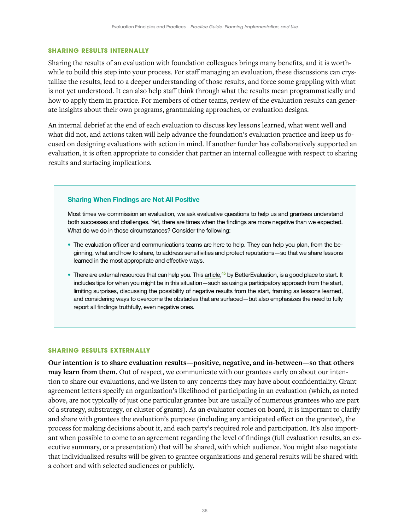#### <span id="page-38-0"></span>**SHARING RESULTS INTERNALLY**

Sharing the results of an evaluation with foundation colleagues brings many benefits, and it is worthwhile to build this step into your process. For staff managing an evaluation, these discussions can crystallize the results, lead to a deeper understanding of those results, and force some grappling with what is not yet understood. It can also help staff think through what the results mean programmatically and how to apply them in practice. For members of other teams, review of the evaluation results can generate insights about their own programs, grantmaking approaches, or evaluation designs.

An internal debrief at the end of each evaluation to discuss key lessons learned, what went well and what did not, and actions taken will help advance the foundation's evaluation practice and keep us focused on designing evaluations with action in mind. If another funder has collaboratively supported an evaluation, it is often appropriate to consider that partner an internal colleague with respect to sharing results and surfacing implications.

#### Sharing When Findings are Not All Positive

Most times we commission an evaluation, we ask evaluative questions to help us and grantees understand both successes and challenges. Yet, there are times when the findings are more negative than we expected. What do we do in those circumstances? Consider the following:

- The evaluation officer and communications teams are here to help. They can help you plan, from the beginning, what and how to share, to address sensitivities and protect reputations—so that we share lessons learned in the most appropriate and effective ways.
- There are external resources that can help you. This [article,](https://www.betterevaluation.org/blog/delivering-bad-news)<sup>45</sup> by BetterEvaluation, is a good place to start. It includes tips for when you might be in this situation—such as using a participatory approach from the start, limiting surprises, discussing the possibility of negative results from the start, framing as lessons learned, and considering ways to overcome the obstacles that are surfaced—but also emphasizes the need to fully report all findings truthfully, even negative ones.

### **SHARING RESULTS EXTERNALLY**

**Our intention is to share evaluation results—positive, negative, and in-between—so that others may learn from them.** Out of respect, we communicate with our grantees early on about our intention to share our evaluations, and we listen to any concerns they may have about confidentiality. Grant agreement letters specify an organization's likelihood of participating in an evaluation (which, as noted above, are not typically of just one particular grantee but are usually of numerous grantees who are part of a strategy, substrategy, or cluster of grants). As an evaluator comes on board, it is important to clarify and share with grantees the evaluation's purpose (including any anticipated effect on the grantee), the process for making decisions about it, and each party's required role and participation. It's also important when possible to come to an agreement regarding the level of findings (full evaluation results, an executive summary, or a presentation) that will be shared, with which audience. You might also negotiate that individualized results will be given to grantee organizations and general results will be shared with a cohort and with selected audiences or publicly.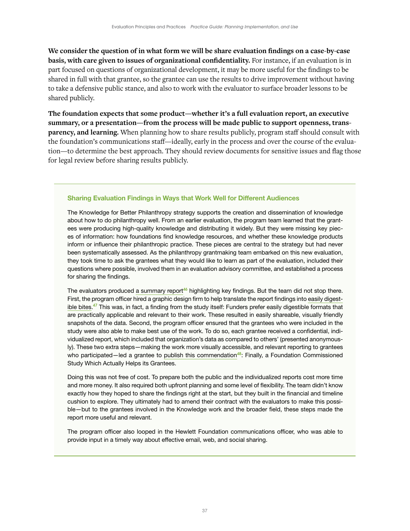**We consider the question of in what form we will be share evaluation findings on a case-by-case basis, with care given to issues of organizational confidentiality.** For instance, if an evaluation is in part focused on questions of organizational development, it may be more useful for the findings to be shared in full with that grantee, so the grantee can use the results to drive improvement without having to take a defensive public stance, and also to work with the evaluator to surface broader lessons to be shared publicly.

**The foundation expects that some product—whether it's a full evaluation report, an executive summary, or a presentation—from the process will be made public to support openness, transparency, and learning.** When planning how to share results publicly, program staff should consult with the foundation's communications staff—ideally, early in the process and over the course of the evaluation—to determine the best approach. They should review documents for sensitive issues and flag those for legal review before sharing results publicly.

### Sharing Evaluation Findings in Ways that Work Well for Different Audiences

The Knowledge for Better Philanthropy strategy supports the creation and dissemination of knowledge about how to do philanthropy well. From an earlier evaluation, the program team learned that the grantees were producing high-quality knowledge and distributing it widely. But they were missing key pieces of information: how foundations find knowledge resources, and whether these knowledge products inform or influence their philanthropic practice. These pieces are central to the strategy but had never been systematically assessed. As the philanthropy grantmaking team embarked on this new evaluation, they took time to ask the grantees what they would like to learn as part of the evaluation, included their questions where possible, involved them in an evaluation advisory committee, and established a process for sharing the findings.

The evaluators produced [a summary report](http://www.hewlett.org/wp-content/uploads/2017/03/Hewlett-Field-Scan-Report-2017-CCBYNC.pdf)<sup>46</sup> highlighting key findings. But the team did not stop there. First, the program officer hired a graphic design firm to help translate the report findings into [easily digest](https://hewlett.org/peer-to-peer-at-the-heart-of-influencing-more-effective-philanthropy/)[ible bites.](https://hewlett.org/peer-to-peer-at-the-heart-of-influencing-more-effective-philanthropy/)<sup>47</sup> This was, in fact, a finding from the study itself: Funders prefer easily digestible formats that are practically applicable and relevant to their work. These resulted in easily shareable, visually friendly snapshots of the data. Second, the program officer ensured that the grantees who were included in the study were also able to make best use of the work. To do so, each grantee received a confidential, individualized report, which included that organization's data as compared to others' (presented anonymously). These two extra steps—making the work more visually accessible, and relevant reporting to grantees who participated—led a grantee to [publish this commendation](https://www.ncrp.org/2017/03/finally-foundation-commissioned-study-actually-helps-grantees.html)<sup>48</sup>: Finally, a Foundation Commissioned Study Which Actually Helps its Grantees.

Doing this was not free of cost. To prepare both the public and the individualized reports cost more time and more money. It also required both upfront planning and some level of flexibility. The team didn't know exactly how they hoped to share the findings right at the start, but they built in the financial and timeline cushion to explore. They ultimately had to amend their contract with the evaluators to make this possible—but to the grantees involved in the Knowledge work and the broader field, these steps made the report more useful and relevant.

The program officer also looped in the Hewlett Foundation communications officer, who was able to provide input in a timely way about effective email, web, and social sharing.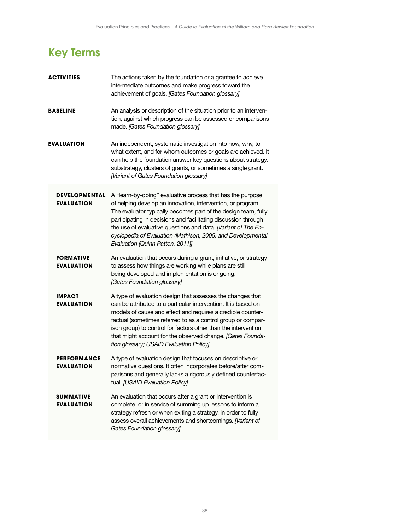# <span id="page-40-0"></span>Key Terms

| ACTIVITIES                                | The actions taken by the foundation or a grantee to achieve<br>intermediate outcomes and make progress toward the<br>achievement of goals. [Gates Foundation glossary]                                                                                                                                                                                                                                                                 |
|-------------------------------------------|----------------------------------------------------------------------------------------------------------------------------------------------------------------------------------------------------------------------------------------------------------------------------------------------------------------------------------------------------------------------------------------------------------------------------------------|
| <b>BASELINE</b>                           | An analysis or description of the situation prior to an interven-<br>tion, against which progress can be assessed or comparisons<br>made. [Gates Foundation glossary]                                                                                                                                                                                                                                                                  |
| EVALUATION                                | An independent, systematic investigation into how, why, to<br>what extent, and for whom outcomes or goals are achieved. It<br>can help the foundation answer key questions about strategy,<br>substrategy, clusters of grants, or sometimes a single grant.<br>[Variant of Gates Foundation glossary]                                                                                                                                  |
| <b>DEVELOPMENTAL</b><br><b>EVALUATION</b> | A "learn-by-doing" evaluative process that has the purpose<br>of helping develop an innovation, intervention, or program.<br>The evaluator typically becomes part of the design team, fully<br>participating in decisions and facilitating discussion through<br>the use of evaluative questions and data. Nariant of The En-<br>cyclopedia of Evaluation (Mathison, 2005) and Developmental<br>Evaluation (Quinn Patton, 2011)]       |
| <b>FORMATIVE</b><br><b>EVALUATION</b>     | An evaluation that occurs during a grant, initiative, or strategy<br>to assess how things are working while plans are still<br>being developed and implementation is ongoing.<br>[Gates Foundation glossary]                                                                                                                                                                                                                           |
| IMPACT<br><b>EVALUATION</b>               | A type of evaluation design that assesses the changes that<br>can be attributed to a particular intervention. It is based on<br>models of cause and effect and requires a credible counter-<br>factual (sometimes referred to as a control group or compar-<br>ison group) to control for factors other than the intervention<br>that might account for the observed change. [Gates Founda-<br>tion glossary; USAID Evaluation Policy] |
| <b>PERFORMANCE</b><br><b>EVALUATION</b>   | A type of evaluation design that focuses on descriptive or<br>normative questions. It often incorporates before/after com-<br>parisons and generally lacks a rigorously defined counterfac-<br>tual. [USAID Evaluation Policy]                                                                                                                                                                                                         |
| SUMMATIVE<br><b>EVALUATION</b>            | An evaluation that occurs after a grant or intervention is<br>complete, or in service of summing up lessons to inform a<br>strategy refresh or when exiting a strategy, in order to fully<br>assess overall achievements and shortcomings. [Variant of<br>Gates Foundation glossary]                                                                                                                                                   |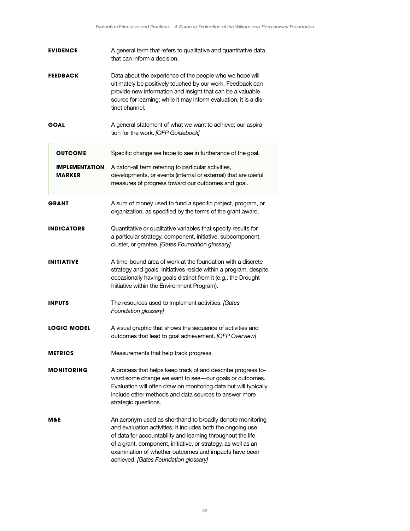| <b>EVIDENCE</b>                        | A general term that refers to qualitative and quantitative data<br>that can inform a decision.                                                                                                                                                                                                                                                             |
|----------------------------------------|------------------------------------------------------------------------------------------------------------------------------------------------------------------------------------------------------------------------------------------------------------------------------------------------------------------------------------------------------------|
| FEEDBACK                               | Data about the experience of the people who we hope will<br>ultimately be positively touched by our work. Feedback can<br>provide new information and insight that can be a valuable<br>source for learning; while it may inform evaluation, it is a dis-<br>tinct channel.                                                                                |
| GOAL                                   | A general statement of what we want to achieve; our aspira-<br>tion for the work. [OFP Guidebook]                                                                                                                                                                                                                                                          |
| <b>OUTCOME</b>                         | Specific change we hope to see in furtherance of the goal.                                                                                                                                                                                                                                                                                                 |
| <b>IMPLEMENTATION</b><br><b>MARKER</b> | A catch-all term referring to particular activities,<br>developments, or events (internal or external) that are useful<br>measures of progress toward our outcomes and goal.                                                                                                                                                                               |
| <b>GRANT</b>                           | A sum of money used to fund a specific project, program, or<br>organization, as specified by the terms of the grant award.                                                                                                                                                                                                                                 |
| <b>INDICATORS</b>                      | Quantitative or qualitative variables that specify results for<br>a particular strategy, component, initiative, subcomponent,<br>cluster, or grantee. [Gates Foundation glossary]                                                                                                                                                                          |
| <b>INITIATIVE</b>                      | A time-bound area of work at the foundation with a discrete<br>strategy and goals. Initiatives reside within a program, despite<br>occasionally having goals distinct from it (e.g., the Drought<br>Initiative within the Environment Program).                                                                                                            |
| <b>INPUTS</b>                          | The resources used to implement activities. [Gates]<br>Foundation glossary]                                                                                                                                                                                                                                                                                |
| <b>LOGIC MODEL</b>                     | A visual graphic that shows the sequence of activities and<br>outcomes that lead to goal achievement. [OFP Overview]                                                                                                                                                                                                                                       |
| <b>METRICS</b>                         | Measurements that help track progress.                                                                                                                                                                                                                                                                                                                     |
| <b>MONITORING</b>                      | A process that helps keep track of and describe progress to-<br>ward some change we want to see-our goals or outcomes.<br>Evaluation will often draw on monitoring data but will typically<br>include other methods and data sources to answer more<br>strategic questions.                                                                                |
| M&E                                    | An acronym used as shorthand to broadly denote monitoring<br>and evaluation activities. It includes both the ongoing use<br>of data for accountability and learning throughout the life<br>of a grant, component, initiative, or strategy, as well as an<br>examination of whether outcomes and impacts have been<br>achieved. [Gates Foundation glossary] |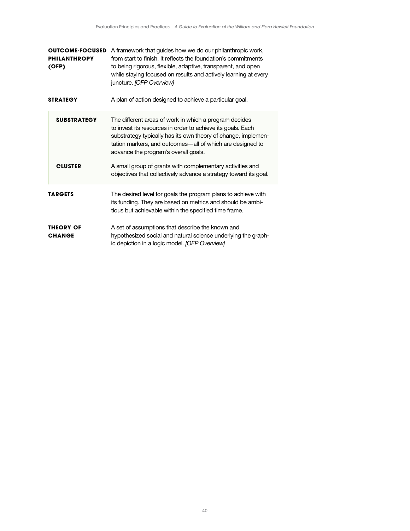| <b>OUTCOME-FOCUSED</b><br><b>PHILANTHROPY</b><br>(OFP) | A framework that guides how we do our philanthropic work,<br>from start to finish. It reflects the foundation's commitments<br>to being rigorous, flexible, adaptive, transparent, and open<br>while staying focused on results and actively learning at every<br>juncture. [OFP Overview]    |  |
|--------------------------------------------------------|-----------------------------------------------------------------------------------------------------------------------------------------------------------------------------------------------------------------------------------------------------------------------------------------------|--|
| <b>STRATEGY</b>                                        | A plan of action designed to achieve a particular goal.                                                                                                                                                                                                                                       |  |
| <b>SUBSTRATEGY</b>                                     | The different areas of work in which a program decides<br>to invest its resources in order to achieve its goals. Each<br>substrategy typically has its own theory of change, implemen-<br>tation markers, and outcomes – all of which are designed to<br>advance the program's overall goals. |  |
| <b>CLUSTER</b>                                         | A small group of grants with complementary activities and<br>objectives that collectively advance a strategy toward its goal.                                                                                                                                                                 |  |
| <b>TARGETS</b>                                         | The desired level for goals the program plans to achieve with<br>its funding. They are based on metrics and should be ambi-<br>tious but achievable within the specified time frame.                                                                                                          |  |
| <b>THEORY OF</b><br><b>CHANGE</b>                      | A set of assumptions that describe the known and<br>hypothesized social and natural science underlying the graph-<br>ic depiction in a logic model. (OFP Overview)                                                                                                                            |  |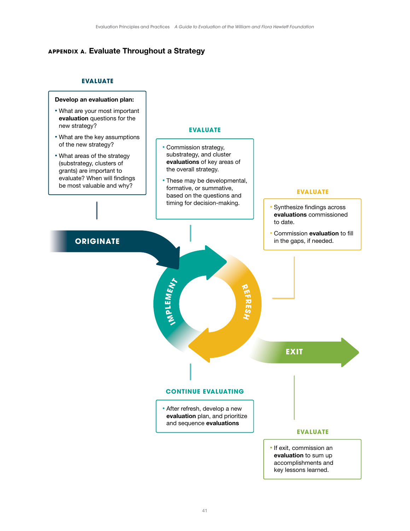# <span id="page-43-0"></span>**APPENDIX A.** Evaluate Throughout a Strategy

# **EVALUATE**

#### Develop an evaluation plan:

- What are your most important evaluation questions for the new strategy?
- What are the key assumptions of the new strategy?
- What areas of the strategy (substrategy, clusters of grants) are important to evaluate? When will findings be most valuable and why?

#### **EVALUATE**

- Commission strategy, substrategy, and cluster evaluations of key areas of the overall strategy.
- These may be developmental, formative, or summative, based on the questions and timing for decision-making.

### **EVALUATE**

- Synthesize findings across evaluations commissioned to date.
- Commission evaluation to fill in the gaps, if needed.

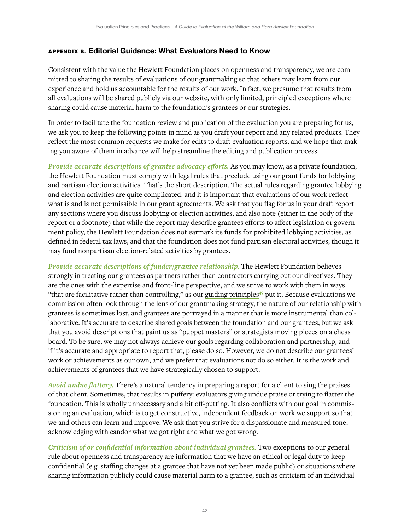# <span id="page-44-0"></span>**APPENDIX B.** Editorial Guidance: What Evaluators Need to Know

Consistent with the value the Hewlett Foundation places on openness and transparency, we are committed to sharing the results of evaluations of our grantmaking so that others may learn from our experience and hold us accountable for the results of our work. In fact, we presume that results from all evaluations will be shared publicly via our website, with only limited, principled exceptions where sharing could cause material harm to the foundation's grantees or our strategies.

In order to facilitate the foundation review and publication of the evaluation you are preparing for us, we ask you to keep the following points in mind as you draft your report and any related products. They reflect the most common requests we make for edits to draft evaluation reports, and we hope that making you aware of them in advance will help streamline the editing and publication process.

*Provide accurate descriptions of grantee advocacy efforts.* As you may know, as a private foundation, the Hewlett Foundation must comply with legal rules that preclude using our grant funds for lobbying and partisan election activities. That's the short description. The actual rules regarding grantee lobbying and election activities are quite complicated, and it is important that evaluations of our work reflect what is and is not permissible in our grant agreements. We ask that you flag for us in your draft report any sections where you discuss lobbying or election activities, and also note (either in the body of the report or a footnote) that while the report may describe grantees efforts to affect legislation or government policy, the Hewlett Foundation does not earmark its funds for prohibited lobbying activities, as defined in federal tax laws, and that the foundation does not fund partisan electoral activities, though it may fund nonpartisan election-related activities by grantees.

*Provide accurate descriptions of funder/grantee relationship.* The Hewlett Foundation believes strongly in treating our grantees as partners rather than contractors carrying out our directives. They are the ones with the expertise and front-line perspective, and we strive to work with them in ways "that are facilitative rather than controlling," as our [guiding principles](https://hewlett.org/collaboration-and-partnership/)<sup>49</sup> put it. Because evaluations we commission often look through the lens of our grantmaking strategy, the nature of our relationship with grantees is sometimes lost, and grantees are portrayed in a manner that is more instrumental than collaborative. It's accurate to describe shared goals between the foundation and our grantees, but we ask that you avoid descriptions that paint us as "puppet masters" or strategists moving pieces on a chess board. To be sure, we may not always achieve our goals regarding collaboration and partnership, and if it's accurate and appropriate to report that, please do so. However, we do not describe our grantees' work or achievements as our own, and we prefer that evaluations not do so either. It is the work and achievements of grantees that we have strategically chosen to support.

*Avoid undue flattery.* There's a natural tendency in preparing a report for a client to sing the praises of that client. Sometimes, that results in puffery: evaluators giving undue praise or trying to flatter the foundation. This is wholly unnecessary and a bit off-putting. It also conflicts with our goal in commissioning an evaluation, which is to get constructive, independent feedback on work we support so that we and others can learn and improve. We ask that you strive for a dispassionate and measured tone, acknowledging with candor what we got right and what we got wrong.

*Criticism of or confidential information about individual grantees.* Two exceptions to our general rule about openness and transparency are information that we have an ethical or legal duty to keep confidential (e.g. staffing changes at a grantee that have not yet been made public) or situations where sharing information publicly could cause material harm to a grantee, such as criticism of an individual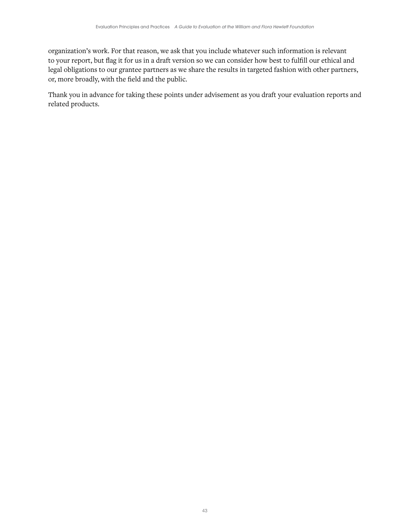organization's work. For that reason, we ask that you include whatever such information is relevant to your report, but flag it for us in a draft version so we can consider how best to fulfill our ethical and legal obligations to our grantee partners as we share the results in targeted fashion with other partners, or, more broadly, with the field and the public.

Thank you in advance for taking these points under advisement as you draft your evaluation reports and related products.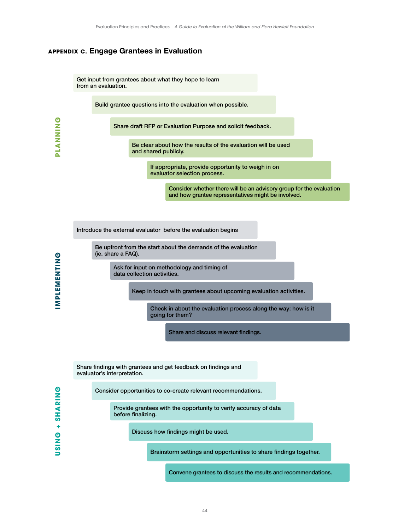# <span id="page-46-0"></span>**APPENDIX C.** Engage Grantees in Evaluation

Get input from grantees about what they hope to learn from an evaluation.

Build grantee questions into the evaluation when possible.

Share draft RFP or Evaluation Purpose and solicit feedback.

Be clear about how the results of the evaluation will be used and shared publicly.

> If appropriate, provide opportunity to weigh in on evaluator selection process.

> > Consider whether there will be an advisory group for the evaluation and how grantee representatives might be involved.

Introduce the external evaluator before the evaluation begins

Be upfront from the start about the demands of the evaluation (ie. share a FAQ).

> Ask for input on methodology and timing of data collection activities.

> > Keep in touch with grantees about upcoming evaluation activities.

Check in about the evaluation process along the way: how is it going for them?

Share and discuss relevant findings.

Share findings with grantees and get feedback on findings and evaluator's interpretation.

Consider opportunities to co-create relevant recommendations.

Provide grantees with the opportunity to verify accuracy of data before finalizing.

Discuss how findings might be used.

Brainstorm settings and opportunities to share findings together.

Convene grantees to discuss the results and recommendations.

**PRINTER** 

**PLANNING**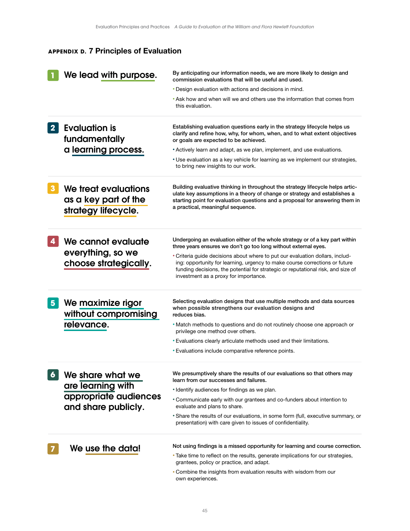# <span id="page-47-0"></span>**APPENDIX D.** 7 Principles of Evaluation

|                  | We lead with purpose.                                               | By anticipating our information needs, we are more likely to design and<br>commission evaluations that will be useful and used.                                                                                                                                                           |  |
|------------------|---------------------------------------------------------------------|-------------------------------------------------------------------------------------------------------------------------------------------------------------------------------------------------------------------------------------------------------------------------------------------|--|
|                  |                                                                     | • Design evaluation with actions and decisions in mind.                                                                                                                                                                                                                                   |  |
|                  |                                                                     | • Ask how and when will we and others use the information that comes from<br>this evaluation.                                                                                                                                                                                             |  |
| 2 <sup>1</sup>   | <b>Evaluation is</b><br>fundamentally                               | Establishing evaluation questions early in the strategy lifecycle helps us<br>clarify and refine how, why, for whom, when, and to what extent objectives<br>or goals are expected to be achieved.                                                                                         |  |
|                  | a learning process.                                                 | • Actively learn and adapt, as we plan, implement, and use evaluations.                                                                                                                                                                                                                   |  |
|                  |                                                                     | * Use evaluation as a key vehicle for learning as we implement our strategies,<br>to bring new insights to our work.                                                                                                                                                                      |  |
| $\boldsymbol{3}$ | We treat evaluations<br>as a key part of the<br>strategy lifecycle. | Building evaluative thinking in throughout the strategy lifecycle helps artic-<br>ulate key assumptions in a theory of change or strategy and establishes a<br>starting point for evaluation questions and a proposal for answering them in<br>a practical, meaningful sequence.          |  |
| 4                | We cannot evaluate                                                  | Undergoing an evaluation either of the whole strategy or of a key part within<br>three years ensures we don't go too long without external eyes.                                                                                                                                          |  |
|                  | everything, so we<br>choose strategically.                          | • Criteria guide decisions about where to put our evaluation dollars, includ-<br>ing: opportunity for learning, urgency to make course corrections or future<br>funding decisions, the potential for strategic or reputational risk, and size of<br>investment as a proxy for importance. |  |
| $5\phantom{1}$   | We maximize rigor<br>without compromising                           | Selecting evaluation designs that use multiple methods and data sources<br>when possible strengthens our evaluation designs and<br>reduces bias.                                                                                                                                          |  |
|                  | relevance.                                                          | • Match methods to questions and do not routinely choose one approach or<br>privilege one method over others.                                                                                                                                                                             |  |
|                  |                                                                     | • Evaluations clearly articulate methods used and their limitations.                                                                                                                                                                                                                      |  |
|                  |                                                                     | • Evaluations include comparative reference points.                                                                                                                                                                                                                                       |  |
| 6                | We share what we                                                    | We presumptively share the results of our evaluations so that others may<br>learn from our successes and failures.                                                                                                                                                                        |  |
|                  | are learning with                                                   | • Identify audiences for findings as we plan.                                                                                                                                                                                                                                             |  |
|                  | appropriate audiences<br>and share publicly.                        | • Communicate early with our grantees and co-funders about intention to<br>evaluate and plans to share.                                                                                                                                                                                   |  |
|                  |                                                                     | • Share the results of our evaluations, in some form (full, executive summary, or<br>presentation) with care given to issues of confidentiality.                                                                                                                                          |  |
|                  | We use the data!                                                    | Not using findings is a missed opportunity for learning and course correction.                                                                                                                                                                                                            |  |
|                  |                                                                     | • Take time to reflect on the results, generate implications for our strategies,<br>grantees, policy or practice, and adapt.                                                                                                                                                              |  |
|                  |                                                                     | • Combine the insights from evaluation results with wisdom from our<br>own experiences.                                                                                                                                                                                                   |  |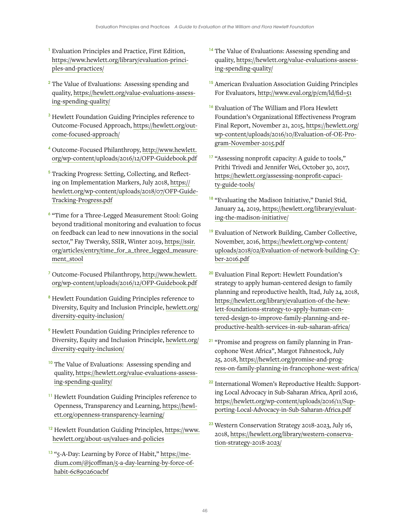- <span id="page-48-0"></span><sup>1</sup> Evaluation Principles and Practice, First Edition, [https://www.hewlett.org/library/evaluation-princi](https://www.hewlett.org/library/evaluation-principles-and-practices/)[ples-and-practices/](https://www.hewlett.org/library/evaluation-principles-and-practices/)
- <sup>2</sup> The Value of Evaluations: Assessing spending and quality, [https://hewlett.org/value-evaluations-assess](https://hewlett.org/value-evaluations-assessing-spending-quality/ )[ing-spending-quality/](https://hewlett.org/value-evaluations-assessing-spending-quality/ )
- <sup>3</sup> Hewlett Foundation Guiding Principles reference to Outcome-Focused Approach, [https://hewlett.org/out](https://hewlett.org/outcome-focused-approach/ )[come-focused-approach/](https://hewlett.org/outcome-focused-approach/ )
- <sup>4</sup> Outcome-Focused Philanthropy, [http://www.hewlett.](http://www.hewlett.org/wp-content/uploads/2016/12/OFP-Guidebook.pdf) [org/wp-content/uploads/2016/12/OFP-Guidebook.pdf](http://www.hewlett.org/wp-content/uploads/2016/12/OFP-Guidebook.pdf)
- <sup>5</sup> Tracking Progress: Setting, Collecting, and Reflecting on Implementation Markers, July 2018, [https://](https://hewlett.org/wp-content/uploads/2018/07/OFP-Guide-Tracking-Progress.pdf ) [hewlett.org/wp-content/uploads/2018/07/OFP-Guide-](https://hewlett.org/wp-content/uploads/2018/07/OFP-Guide-Tracking-Progress.pdf )[Tracking-Progress.pdf](https://hewlett.org/wp-content/uploads/2018/07/OFP-Guide-Tracking-Progress.pdf )
- <sup>6</sup> "Time for a Three-Legged Measurement Stool: Going beyond traditional monitoring and evaluation to focus on feedback can lead to new innovations in the social sector," Fay Twersky, SSIR, Winter 2019, [https://ssir.](https://ssir.org/articles/entry/time_for_a_three_legged_measurement_stool ) [org/articles/entry/time\\_for\\_a\\_three\\_legged\\_measure](https://ssir.org/articles/entry/time_for_a_three_legged_measurement_stool )[ment\\_stool](https://ssir.org/articles/entry/time_for_a_three_legged_measurement_stool )
- <sup>7</sup> Outcome-Focused Philanthropy, [http://www.hewlett.](http://www.hewlett.org/wp-content/uploads/2016/12/OFP-Guidebook.pdf) [org/wp-content/uploads/2016/12/OFP-Guidebook.pdf](http://www.hewlett.org/wp-content/uploads/2016/12/OFP-Guidebook.pdf)
- <sup>8</sup> Hewlett Foundation Guiding Principles reference to Diversity, Equity and Inclusion Principle, [hewlett.org/](http://hewlett.org/diversity-equity-inclusion/ ) [diversity-equity-inclusion/](http://hewlett.org/diversity-equity-inclusion/ )
- <sup>9</sup> Hewlett Foundation Guiding Principles reference to Diversity, Equity and Inclusion Principle, [hewlett.org/](http://hewlett.org/diversity-equity-inclusion/ ) [diversity-equity-inclusion/](http://hewlett.org/diversity-equity-inclusion/ )
- <sup>10</sup> The Value of Evaluations: Assessing spending and quality, [https://hewlett.org/value-evaluations-assess](https://hewlett.org/value-evaluations-assessing-spending-quality/)[ing-spending-quality/](https://hewlett.org/value-evaluations-assessing-spending-quality/)
- <sup>11</sup> Hewlett Foundation Guiding Principles reference to Openness, Transparency and Learning, [https://hewl](https://hewlett.org/openness-transparency-learning/)[ett.org/openness-transparency-learning/](https://hewlett.org/openness-transparency-learning/)
- <sup>12</sup> Hewlett Foundation Guiding Principles, [https://www.](https://www.hewlett.org/about-us/values-and-policies) [hewlett.org/about-us/values-and-policies](https://www.hewlett.org/about-us/values-and-policies)
- <sup>13</sup> "5-A-Day: Learning by Force of Habit," [https://me](mailto:https://medium.com/@jcoffman/5-a-day-learning-by-force-of-habit-6c890260acbf)[dium.com/@jcoffman/5-a-day-learning-by-force-of](mailto:https://medium.com/@jcoffman/5-a-day-learning-by-force-of-habit-6c890260acbf)[habit-6c890260acbf](mailto:https://medium.com/@jcoffman/5-a-day-learning-by-force-of-habit-6c890260acbf)
- <sup>14</sup> The Value of Evaluations: Assessing spending and quality, [https://hewlett.org/value-evaluations-assess](https://hewlett.org/value-evaluations-assessing-spending-quality/)[ing-spending-quality/](https://hewlett.org/value-evaluations-assessing-spending-quality/)
- <sup>15</sup> American Evaluation Association Guiding Principles For Evaluators,<http://www.eval.org/p/cm/ld/fid=51>
- <sup>16</sup> Evaluation of The William and Flora Hewlett Foundation's Organizational Effectiveness Program Final Report, November 21, 2015, [https://hewlett.org/](https://hewlett.org/wp-content/uploads/2016/10/Evaluation-of-OE-Program-November-2015.pdf ) [wp-content/uploads/2016/10/Evaluation-of-OE-Pro](https://hewlett.org/wp-content/uploads/2016/10/Evaluation-of-OE-Program-November-2015.pdf )[gram-November-2015.pdf](https://hewlett.org/wp-content/uploads/2016/10/Evaluation-of-OE-Program-November-2015.pdf )
- <sup>17</sup> "Assessing nonprofit capacity: A guide to tools," Prithi Trivedi and Jennifer Wei, October 30, 2017, [https://hewlett.org/assessing-nonprofit-capaci](https://hewlett.org/assessing-nonprofit-capacity-guide-tools/)[ty-guide-tools/](https://hewlett.org/assessing-nonprofit-capacity-guide-tools/)
- <sup>18</sup> "Evaluating the Madison Initiative," Daniel Stid, January 24, 2019, [https://hewlett.org/library/evaluat](https://hewlett.org/library/evaluating-the-madison-initiative/)[ing-the-madison-initiative/](https://hewlett.org/library/evaluating-the-madison-initiative/)
- <sup>19</sup> Evaluation of Network Building, Camber Collective, November, 2016, [https://hewlett.org/wp-content/](https://hewlett.org/wp-content/uploads/2018/02/Evaluation-of-network-building-Cyber-2016.pdf ) [uploads/2018/02/Evaluation-of-network-building-Cy](https://hewlett.org/wp-content/uploads/2018/02/Evaluation-of-network-building-Cyber-2016.pdf )[ber-2016.pdf](https://hewlett.org/wp-content/uploads/2018/02/Evaluation-of-network-building-Cyber-2016.pdf )
- <sup>20</sup> Evaluation Final Report: Hewlett Foundation's strategy to apply human-centered design to family planning and reproductive health, Itad, July 24, 2018, [https://hewlett.org/library/evaluation-of-the-hew](https://hewlett.org/library/evaluation-of-the-hewlett-foundations-strategy-to-apply-human-centered-design-to-improve-family-planning-and-reproductive-health-services-in-sub-saharan-africa/ )[lett-foundations-strategy-to-apply-human-cen](https://hewlett.org/library/evaluation-of-the-hewlett-foundations-strategy-to-apply-human-centered-design-to-improve-family-planning-and-reproductive-health-services-in-sub-saharan-africa/ )[tered-design-to-improve-family-planning-and-re](https://hewlett.org/library/evaluation-of-the-hewlett-foundations-strategy-to-apply-human-centered-design-to-improve-family-planning-and-reproductive-health-services-in-sub-saharan-africa/ )[productive-health-services-in-sub-saharan-africa/](https://hewlett.org/library/evaluation-of-the-hewlett-foundations-strategy-to-apply-human-centered-design-to-improve-family-planning-and-reproductive-health-services-in-sub-saharan-africa/ )
- <sup>21</sup> "Promise and progress on family planning in Francophone West Africa", Margot Fahnestock, July 25, 2018, [https://hewlett.org/promise-and-prog](https://hewlett.org/promise-and-progress-on-family-planning-in-francophone-west-africa/)[ress-on-family-planning-in-francophone-west-africa/](https://hewlett.org/promise-and-progress-on-family-planning-in-francophone-west-africa/)
- <sup>22</sup> International Women's Reproductive Health: Supporting Local Advocacy in Sub-Saharan Africa, April 2016, [https://hewlett.org/wp-content/uploads/2016/11/Sup](https://hewlett.org/wp-content/uploads/2016/11/Supporting-Local-Advocacy-in-Sub-Saharan-Africa.pdf)[porting-Local-Advocacy-in-Sub-Saharan-Africa.pdf](https://hewlett.org/wp-content/uploads/2016/11/Supporting-Local-Advocacy-in-Sub-Saharan-Africa.pdf)
- <sup>23</sup> Western Conservation Strategy 2018-2023, July 16, 2018, [https://hewlett.org/library/western-conserva](https://hewlett.org/library/western-conservation-strategy-2018-2023/)[tion-strategy-2018-2023/](https://hewlett.org/library/western-conservation-strategy-2018-2023/)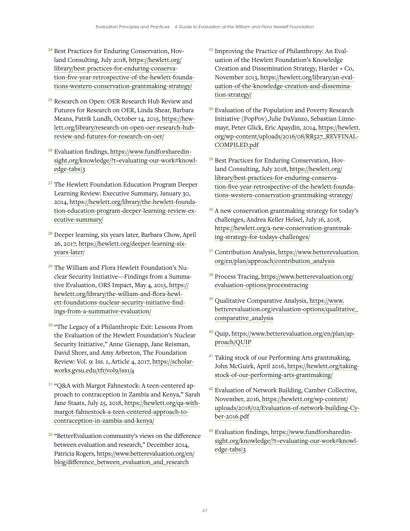- <sup>24</sup> Best Practices for Enduring Conservation, Hovland Consulting, July 2018, [https://hewlett.org/](https://hewlett.org/library/best-practices-for-enduring-conservation-five-year-retrospective-of-the-hewlett-foundations-western-conservation-grantmaking-strategy/) [library/best-practices-for-enduring-conserva](https://hewlett.org/library/best-practices-for-enduring-conservation-five-year-retrospective-of-the-hewlett-foundations-western-conservation-grantmaking-strategy/)[tion-five-year-retrospective-of-the-hewlett-founda](https://hewlett.org/library/best-practices-for-enduring-conservation-five-year-retrospective-of-the-hewlett-foundations-western-conservation-grantmaking-strategy/)[tions-western-conservation-grantmaking-strategy/](https://hewlett.org/library/best-practices-for-enduring-conservation-five-year-retrospective-of-the-hewlett-foundations-western-conservation-grantmaking-strategy/)
- <sup>25</sup> Research on Open: OER Research Hub Review and Futures for Research on OER, Linda Shear, Barbara Means, Patrik Lundh, October 14, 2015, [https://hew](https://hewlett.org/library/research-on-open-oer-research-hub-review-and-futures-for-research-on-oer/)[lett.org/library/research-on-open-oer-research-hub](https://hewlett.org/library/research-on-open-oer-research-hub-review-and-futures-for-research-on-oer/)[review-and-futures-for-research-on-oer/](https://hewlett.org/library/research-on-open-oer-research-hub-review-and-futures-for-research-on-oer/)
- <sup>26</sup> Evaluation findings, [https://www.fundforsharedin](https://www.fundforsharedinsight.org/knowledge/?t=evaluating-our-work#knowledge-tabs|3)[sight.org/knowledge/?t=evaluating-our-work#knowl](https://www.fundforsharedinsight.org/knowledge/?t=evaluating-our-work#knowledge-tabs|3)[edge-tabs|3](https://www.fundforsharedinsight.org/knowledge/?t=evaluating-our-work#knowledge-tabs|3)
- <sup>27</sup> The Hewlett Foundation Education Program Deeper Learning Review: Executive Summary, January 30, 2014, [https://hewlett.org/library/the-hewlett-founda](https://hewlett.org/library/the-hewlett-foundation-education-program-deeper-learning-review-executive-summary/)[tion-education-program-deeper-learning-review-ex](https://hewlett.org/library/the-hewlett-foundation-education-program-deeper-learning-review-executive-summary/)[ecutive-summary/](https://hewlett.org/library/the-hewlett-foundation-education-program-deeper-learning-review-executive-summary/)
- <sup>28</sup> Deeper learning, six years later, Barbara Chow, April 26, 2017, [https://hewlett.org/deeper-learning-six](https://hewlett.org/deeper-learning-six-years-later)[years-later/](https://hewlett.org/deeper-learning-six-years-later)
- <sup>29</sup> The William and Flora Hewlett Foundation's Nuclear Security Initiative—Findings from a Summative Evaluation, ORS Impact, May 4, 2015, [https://](https://hewlett.org/library/the-william-and-flora-hewlett-foundations-nuclear-security-initiative-findings-from-a-summative-evaluation/) [hewlett.org/library/the-william-and-flora-hewl](https://hewlett.org/library/the-william-and-flora-hewlett-foundations-nuclear-security-initiative-findings-from-a-summative-evaluation/)[ett-foundations-nuclear-security-initiative-find](https://hewlett.org/library/the-william-and-flora-hewlett-foundations-nuclear-security-initiative-findings-from-a-summative-evaluation/)[ings-from-a-summative-evaluation/](https://hewlett.org/library/the-william-and-flora-hewlett-foundations-nuclear-security-initiative-findings-from-a-summative-evaluation/)
- <sup>30</sup> "The Legacy of a Philanthropic Exit: Lessons From the Evaluation of the Hewlett Foundation's Nuclear Security Initiative," Anne Gienapp, Jane Reisman, David Shorr, and Amy Arbreton, The Foundation Review: Vol. 9: Iss. 1, Article 4, 2017, [https://scholar](https://scholarworks.gvsu.edu/tfr/vol9/iss1/4)[works.gvsu.edu/tfr/vol9/iss1/4](https://scholarworks.gvsu.edu/tfr/vol9/iss1/4)
- <sup>31</sup> "O&A with Margot Fahnestock: A teen-centered approach to contraception in Zambia and Kenya," Sarah Jane Staats, July 25, 2018, [https://hewlett.org/qa-with](https://hewlett.org/qa-with-margot-fahnestock-a-teen-centered-approach-to-contraception-in-zambia-and-kenya/)[margot-fahnestock-a-teen-centered-approach-to](https://hewlett.org/qa-with-margot-fahnestock-a-teen-centered-approach-to-contraception-in-zambia-and-kenya/)[contraception-in-zambia-and-kenya/](https://hewlett.org/qa-with-margot-fahnestock-a-teen-centered-approach-to-contraception-in-zambia-and-kenya/)
- <sup>32</sup> "BetterEvaluation community's views on the difference between evaluation and research," December 2014, Patricia Rogers, [https://www.betterevaluation.org/en/](https://www.betterevaluation.org/en/blog/difference_between_evaluation_and_research) [blog/difference\\_between\\_evaluation\\_and\\_research](https://www.betterevaluation.org/en/blog/difference_between_evaluation_and_research)
- <sup>33</sup> Improving the Practice of Philanthropy: An Evaluation of the Hewlett Foundation's Knowledge Creation and Dissemination Strategy, Harder + Co, November 2013, [https://hewlett.org/library/an-eval](https://hewlett.org/library/an-evaluation-of-the-knowledge-creation-and-dissemination-strategy/ )[uation-of-the-knowledge-creation-and-dissemina](https://hewlett.org/library/an-evaluation-of-the-knowledge-creation-and-dissemination-strategy/ )[tion-strategy/](https://hewlett.org/library/an-evaluation-of-the-knowledge-creation-and-dissemination-strategy/ )
- <sup>34</sup> Evaluation of the Population and Poverty Research Initiative (PopPov),Julie DaVanzo, Sebastian Linnemayr, Peter Glick, Eric Apaydin, 2014, [https://hewlett.](https://hewlett.org/wp-content/uploads/2016/08/RR527_REVFINALCOMPILED.pdf ) [org/wp-content/uploads/2016/08/RR527\\_REVFINAL-](https://hewlett.org/wp-content/uploads/2016/08/RR527_REVFINALCOMPILED.pdf )[COMPILED.pdf](https://hewlett.org/wp-content/uploads/2016/08/RR527_REVFINALCOMPILED.pdf )
- <sup>35</sup> Best Practices for Enduring Conservation, Hovland Consulting, July 2018, [https://hewlett.org/](https://hewlett.org/library/best-practices-for-enduring-conservation-five-year-retrospective-of-the-hewlett-foundations-western-conservation-grantmaking-strategy/) [library/best-practices-for-enduring-conserva](https://hewlett.org/library/best-practices-for-enduring-conservation-five-year-retrospective-of-the-hewlett-foundations-western-conservation-grantmaking-strategy/)[tion-five-year-retrospective-of-the-hewlett-founda](https://hewlett.org/library/best-practices-for-enduring-conservation-five-year-retrospective-of-the-hewlett-foundations-western-conservation-grantmaking-strategy/)[tions-western-conservation-grantmaking-strategy/](https://hewlett.org/library/best-practices-for-enduring-conservation-five-year-retrospective-of-the-hewlett-foundations-western-conservation-grantmaking-strategy/)
- <sup>36</sup> A new conservation grantmaking strategy for today's challenges, Andrea Keller Helsel, July 16, 2018, [https://hewlett.org/a-new-conservation-grantmak](https://hewlett.org/a-new-conservation-grantmaking-strategy-for-todays-challenges/ )[ing-strategy-for-todays-challenges/](https://hewlett.org/a-new-conservation-grantmaking-strategy-for-todays-challenges/ )
- <sup>37</sup> Contribution Analysis, [https://www.betterevaluation.](https://www.betterevaluation.org/en/plan/approach/contribution_analysis ) [org/en/plan/approach/contribution\\_analysis](https://www.betterevaluation.org/en/plan/approach/contribution_analysis )
- <sup>38</sup> Process Tracing, [https://www.betterevaluation.org/](https://www.betterevaluation.org/evaluation-options/processtracing) [evaluation-options/processtracing](https://www.betterevaluation.org/evaluation-options/processtracing)
- <sup>39</sup> Qualitative Comparative Analysis, [https://www.](https://www.betterevaluation.org/evaluation-options/qualitative_comparative_analysis) [betterevaluation.org/evaluation-options/qualitative\\_](https://www.betterevaluation.org/evaluation-options/qualitative_comparative_analysis) [comparative\\_analysis](https://www.betterevaluation.org/evaluation-options/qualitative_comparative_analysis)
- <sup>40</sup> Quip, [https://www.betterevaluation.org/en/plan/ap](https://www.betterevaluation.org/en/plan/approach/QUIP)[proach/QUIP](https://www.betterevaluation.org/en/plan/approach/QUIP)
- <sup>41</sup> Taking stock of our Performing Arts grantmaking, John McGuirk, April 2016, [https://hewlett.org/taking](https://hewlett.org/taking-stock-of-our-performing-arts-grantmaking/)[stock-of-our-performing-arts-grantmaking/](https://hewlett.org/taking-stock-of-our-performing-arts-grantmaking/)
- <sup>42</sup> Evaluation of Network Building, Camber Collective, November, 2016, [https://hewlett.org/wp-content/](https://hewlett.org/wp-content/uploads/2018/02/Evaluation-of-network-building-Cyber-2016.pdf ) [uploads/2018/02/Evaluation-of-network-building-Cy](https://hewlett.org/wp-content/uploads/2018/02/Evaluation-of-network-building-Cyber-2016.pdf )[ber-2016.pdf](https://hewlett.org/wp-content/uploads/2018/02/Evaluation-of-network-building-Cyber-2016.pdf )
- 43 Evaluation findings, [https://www.fundforsharedin](https://www.fundforsharedinsight.org/knowledge/?t=evaluating-our-work#knowledge-tabs|3)[sight.org/knowledge/?t=evaluating-our-work#knowl](https://www.fundforsharedinsight.org/knowledge/?t=evaluating-our-work#knowledge-tabs|3)[edge-tabs|3](https://www.fundforsharedinsight.org/knowledge/?t=evaluating-our-work#knowledge-tabs|3)